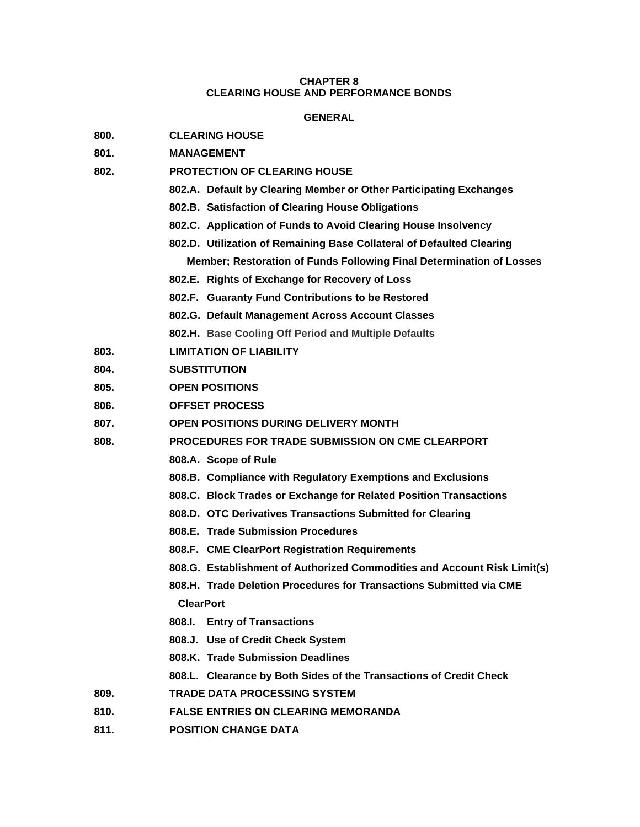# **CHAPTER 8 CLEARING HOUSE AND PERFORMANCE BONDS**

## **GENERAL**

- **800. CLEARING HOUSE**
- **801. MANAGEMENT**
- **802. PROTECTION OF CLEARING HOUSE**
	- **802.A. Default by Clearing Member or Other Participating Exchanges**
	- **802.B. Satisfaction of Clearing House Obligations**
	- **802.C. Application of Funds to Avoid Clearing House Insolvency**
	- **802.D. Utilization of Remaining Base Collateral of Defaulted Clearing Member; Restoration of Funds Following Final Determination of Losses**
	- **802.E. Rights of Exchange for Recovery of Loss**
	- **802.F. Guaranty Fund Contributions to be Restored**
	- **802.G. Default Management Across Account Classes**
	- **802.H. Base Cooling Off Period and Multiple Defaults**
- **803. LIMITATION OF LIABILITY**
- **804. SUBSTITUTION**
- **805. OPEN POSITIONS**
- **806. OFFSET PROCESS**
- **807. OPEN POSITIONS DURING DELIVERY MONTH**
- **808. PROCEDURES FOR TRADE SUBMISSION ON CME CLEARPORT**
	- **808.A. Scope of Rule**
	- **808.B. Compliance with Regulatory Exemptions and Exclusions**
	- **808.C. Block Trades or Exchange for Related Position Transactions**
	- **808.D. OTC Derivatives Transactions Submitted for Clearing**
	- **808.E. Trade Submission Procedures**
	- **808.F. CME ClearPort Registration Requirements**
	- **808.G. Establishment of Authorized Commodities and Account Risk Limit(s)**
	- **808.H. Trade Deletion Procedures for Transactions Submitted via CME ClearPort**
	- **808.I. Entry of Transactions**
	- **808.J. Use of Credit Check System**
	- **808.K. Trade Submission Deadlines**
	- **808.L. Clearance by Both Sides of the Transactions of Credit Check**
- **809. TRADE DATA PROCESSING SYSTEM**
- **810. FALSE ENTRIES ON CLEARING MEMORANDA**
- **811. POSITION CHANGE DATA**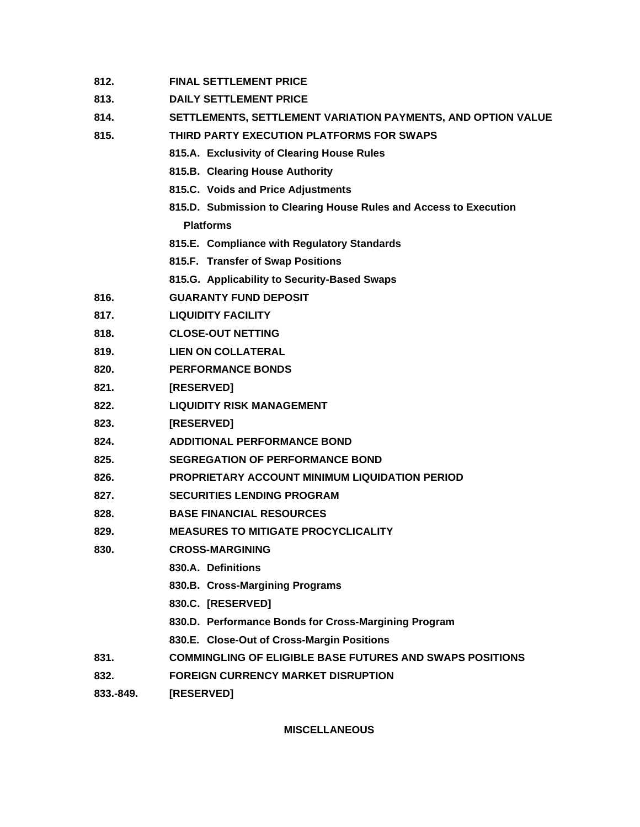- **812. FINAL SETTLEMENT PRICE**
- **813. DAILY SETTLEMENT PRICE**
- **814. SETTLEMENTS, SETTLEMENT VARIATION PAYMENTS, AND OPTION VALUE**
- **815. THIRD PARTY EXECUTION PLATFORMS FOR SWAPS**
	- **815.A. Exclusivity of Clearing House Rules**
	- **815.B. Clearing House Authority**
	- **815.C. Voids and Price Adjustments**
	- **815.D. Submission to Clearing House Rules and Access to Execution Platforms**
	- **815.E. Compliance with Regulatory Standards**
	- **815.F. Transfer of Swap Positions**
	- **815.G. Applicability to Security-Based Swaps**
- **816. GUARANTY FUND DEPOSIT**
- **817. LIQUIDITY FACILITY**
- **818. CLOSE-OUT NETTING**
- **819. LIEN ON COLLATERAL**
- **820. PERFORMANCE BONDS**
- **821. [RESERVED]**
- **822. LIQUIDITY RISK MANAGEMENT**
- **823. [RESERVED]**
- **824. ADDITIONAL PERFORMANCE BOND**
- **825. SEGREGATION OF PERFORMANCE BOND**
- **826. PROPRIETARY ACCOUNT MINIMUM LIQUIDATION PERIOD**
- **827. SECURITIES LENDING PROGRAM**
- **828. BASE FINANCIAL RESOURCES**
- **829. MEASURES TO MITIGATE PROCYCLICALITY**
- **830. CROSS-MARGINING**
	- **830.A. Definitions**
	- **830.B. Cross-Margining Programs**
	- **830.C. [RESERVED]**
	- **830.D. Performance Bonds for Cross-Margining Program**
	- **830.E. Close-Out of Cross-Margin Positions**
- **831. COMMINGLING OF ELIGIBLE BASE FUTURES AND SWAPS POSITIONS**
- **832. FOREIGN CURRENCY MARKET DISRUPTION**
- **833.-849. [RESERVED]**

**MISCELLANEOUS**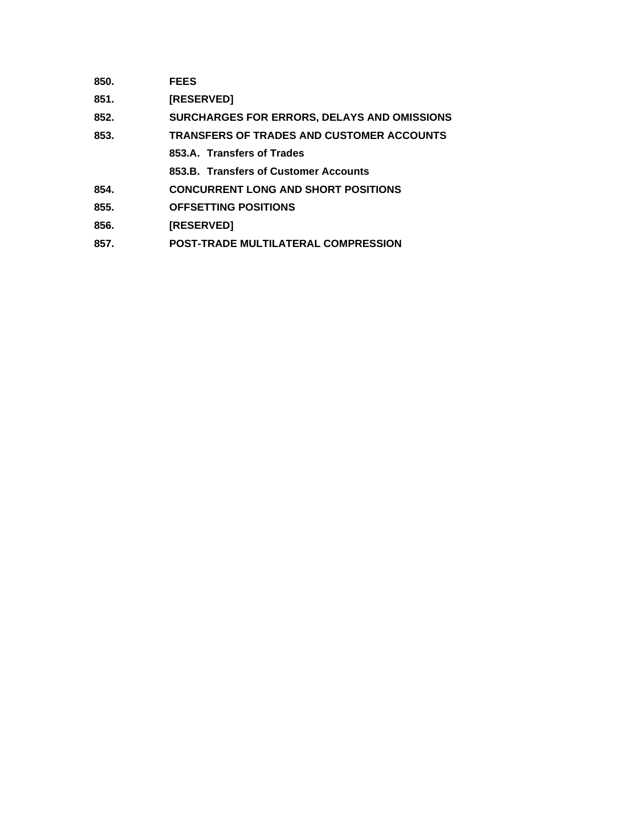| 850. | <b>FEES</b>                                        |
|------|----------------------------------------------------|
| 851. | <b>[RESERVED]</b>                                  |
| 852. | <b>SURCHARGES FOR ERRORS, DELAYS AND OMISSIONS</b> |
| 853. | <b>TRANSFERS OF TRADES AND CUSTOMER ACCOUNTS</b>   |
|      | 853.A. Transfers of Trades                         |
|      | 853.B. Transfers of Customer Accounts              |
| 854. | <b>CONCURRENT LONG AND SHORT POSITIONS</b>         |
| 855. | <b>OFFSETTING POSITIONS</b>                        |
| 856. | <b>[RESERVED]</b>                                  |

**857. POST-TRADE MULTILATERAL COMPRESSION**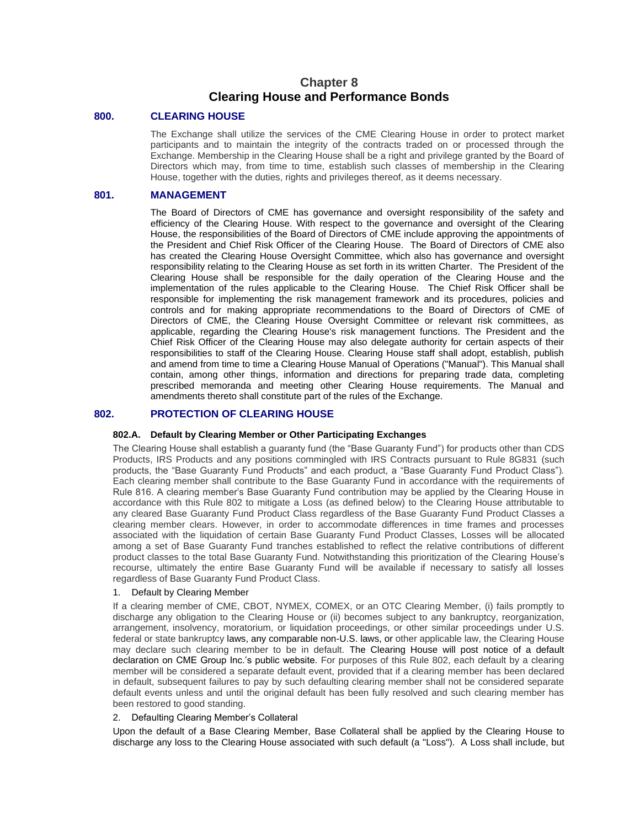# **Chapter 8 Clearing House and Performance Bonds**

## **800. CLEARING HOUSE**

The Exchange shall utilize the services of the CME Clearing House in order to protect market participants and to maintain the integrity of the contracts traded on or processed through the Exchange. Membership in the Clearing House shall be a right and privilege granted by the Board of Directors which may, from time to time, establish such classes of membership in the Clearing House, together with the duties, rights and privileges thereof, as it deems necessary.

## **801. MANAGEMENT**

The Board of Directors of CME has governance and oversight responsibility of the safety and efficiency of the Clearing House. With respect to the governance and oversight of the Clearing House, the responsibilities of the Board of Directors of CME include approving the appointments of the President and Chief Risk Officer of the Clearing House. The Board of Directors of CME also has created the Clearing House Oversight Committee, which also has governance and oversight responsibility relating to the Clearing House as set forth in its written Charter. The President of the Clearing House shall be responsible for the daily operation of the Clearing House and the implementation of the rules applicable to the Clearing House. The Chief Risk Officer shall be responsible for implementing the risk management framework and its procedures, policies and controls and for making appropriate recommendations to the Board of Directors of CME of Directors of CME, the Clearing House Oversight Committee or relevant risk committees, as applicable, regarding the Clearing House's risk management functions. The President and the Chief Risk Officer of the Clearing House may also delegate authority for certain aspects of their responsibilities to staff of the Clearing House. Clearing House staff shall adopt, establish, publish and amend from time to time a Clearing House Manual of Operations ("Manual"). This Manual shall contain, among other things, information and directions for preparing trade data, completing prescribed memoranda and meeting other Clearing House requirements. The Manual and amendments thereto shall constitute part of the rules of the Exchange.

# **802. PROTECTION OF CLEARING HOUSE**

## **802.A. Default by Clearing Member or Other Participating Exchanges**

The Clearing House shall establish a guaranty fund (the "Base Guaranty Fund") for products other than CDS Products, IRS Products and any positions commingled with IRS Contracts pursuant to Rule 8G831 (such products, the "Base Guaranty Fund Products" and each product, a "Base Guaranty Fund Product Class"). Each clearing member shall contribute to the Base Guaranty Fund in accordance with the requirements of Rule 816. A clearing member's Base Guaranty Fund contribution may be applied by the Clearing House in accordance with this Rule 802 to mitigate a Loss (as defined below) to the Clearing House attributable to any cleared Base Guaranty Fund Product Class regardless of the Base Guaranty Fund Product Classes a clearing member clears. However, in order to accommodate differences in time frames and processes associated with the liquidation of certain Base Guaranty Fund Product Classes, Losses will be allocated among a set of Base Guaranty Fund tranches established to reflect the relative contributions of different product classes to the total Base Guaranty Fund. Notwithstanding this prioritization of the Clearing House's recourse, ultimately the entire Base Guaranty Fund will be available if necessary to satisfy all losses regardless of Base Guaranty Fund Product Class.

#### 1. Default by Clearing Member

If a clearing member of CME, CBOT, NYMEX, COMEX, or an OTC Clearing Member, (i) fails promptly to discharge any obligation to the Clearing House or (ii) becomes subject to any bankruptcy, reorganization, arrangement, insolvency, moratorium, or liquidation proceedings, or other similar proceedings under U.S. federal or state bankruptcy laws, any comparable non-U.S. laws, or other applicable law, the Clearing House may declare such clearing member to be in default. The Clearing House will post notice of a default declaration on CME Group Inc.'s public website. For purposes of this Rule 802, each default by a clearing member will be considered a separate default event, provided that if a clearing member has been declared in default, subsequent failures to pay by such defaulting clearing member shall not be considered separate default events unless and until the original default has been fully resolved and such clearing member has been restored to good standing.

## 2. Defaulting Clearing Member's Collateral

Upon the default of a Base Clearing Member, Base Collateral shall be applied by the Clearing House to discharge any loss to the Clearing House associated with such default (a "Loss"). A Loss shall include, but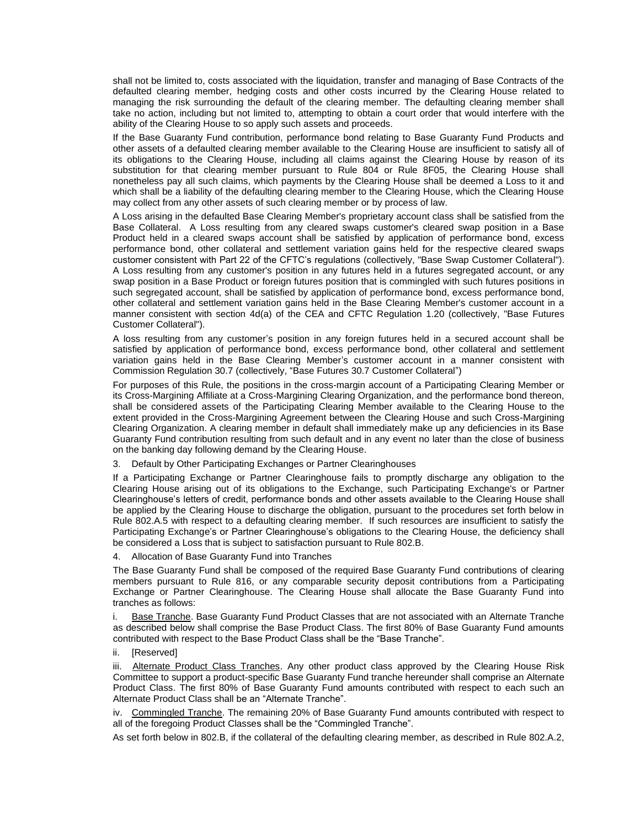shall not be limited to, costs associated with the liquidation, transfer and managing of Base Contracts of the defaulted clearing member, hedging costs and other costs incurred by the Clearing House related to managing the risk surrounding the default of the clearing member. The defaulting clearing member shall take no action, including but not limited to, attempting to obtain a court order that would interfere with the ability of the Clearing House to so apply such assets and proceeds.

If the Base Guaranty Fund contribution, performance bond relating to Base Guaranty Fund Products and other assets of a defaulted clearing member available to the Clearing House are insufficient to satisfy all of its obligations to the Clearing House, including all claims against the Clearing House by reason of its substitution for that clearing member pursuant to Rule 804 or Rule 8F05, the Clearing House shall nonetheless pay all such claims, which payments by the Clearing House shall be deemed a Loss to it and which shall be a liability of the defaulting clearing member to the Clearing House, which the Clearing House may collect from any other assets of such clearing member or by process of law.

A Loss arising in the defaulted Base Clearing Member's proprietary account class shall be satisfied from the Base Collateral. A Loss resulting from any cleared swaps customer's cleared swap position in a Base Product held in a cleared swaps account shall be satisfied by application of performance bond, excess performance bond, other collateral and settlement variation gains held for the respective cleared swaps customer consistent with Part 22 of the CFTC's regulations (collectively, "Base Swap Customer Collateral"). A Loss resulting from any customer's position in any futures held in a futures segregated account, or any swap position in a Base Product or foreign futures position that is commingled with such futures positions in such segregated account, shall be satisfied by application of performance bond, excess performance bond, other collateral and settlement variation gains held in the Base Clearing Member's customer account in a manner consistent with section 4d(a) of the CEA and CFTC Regulation 1.20 (collectively, "Base Futures Customer Collateral").

A loss resulting from any customer's position in any foreign futures held in a secured account shall be satisfied by application of performance bond, excess performance bond, other collateral and settlement variation gains held in the Base Clearing Member's customer account in a manner consistent with Commission Regulation 30.7 (collectively, "Base Futures 30.7 Customer Collateral")

For purposes of this Rule, the positions in the cross-margin account of a Participating Clearing Member or its Cross-Margining Affiliate at a Cross-Margining Clearing Organization, and the performance bond thereon, shall be considered assets of the Participating Clearing Member available to the Clearing House to the extent provided in the Cross-Margining Agreement between the Clearing House and such Cross-Margining Clearing Organization. A clearing member in default shall immediately make up any deficiencies in its Base Guaranty Fund contribution resulting from such default and in any event no later than the close of business on the banking day following demand by the Clearing House.

3. Default by Other Participating Exchanges or Partner Clearinghouses

If a Participating Exchange or Partner Clearinghouse fails to promptly discharge any obligation to the Clearing House arising out of its obligations to the Exchange, such Participating Exchange's or Partner Clearinghouse's letters of credit, performance bonds and other assets available to the Clearing House shall be applied by the Clearing House to discharge the obligation, pursuant to the procedures set forth below in Rule 802.A.5 with respect to a defaulting clearing member. If such resources are insufficient to satisfy the Participating Exchange's or Partner Clearinghouse's obligations to the Clearing House, the deficiency shall be considered a Loss that is subject to satisfaction pursuant to Rule 802.B.

4. Allocation of Base Guaranty Fund into Tranches

The Base Guaranty Fund shall be composed of the required Base Guaranty Fund contributions of clearing members pursuant to Rule 816, or any comparable security deposit contributions from a Participating Exchange or Partner Clearinghouse. The Clearing House shall allocate the Base Guaranty Fund into tranches as follows:

i. Base Tranche. Base Guaranty Fund Product Classes that are not associated with an Alternate Tranche as described below shall comprise the Base Product Class. The first 80% of Base Guaranty Fund amounts contributed with respect to the Base Product Class shall be the "Base Tranche".

ii. [Reserved]

iii. Alternate Product Class Tranches. Any other product class approved by the Clearing House Risk Committee to support a product-specific Base Guaranty Fund tranche hereunder shall comprise an Alternate Product Class. The first 80% of Base Guaranty Fund amounts contributed with respect to each such an Alternate Product Class shall be an "Alternate Tranche".

iv. Commingled Tranche. The remaining 20% of Base Guaranty Fund amounts contributed with respect to all of the foregoing Product Classes shall be the "Commingled Tranche".

As set forth below in 802.B, if the collateral of the defaulting clearing member, as described in Rule 802.A.2,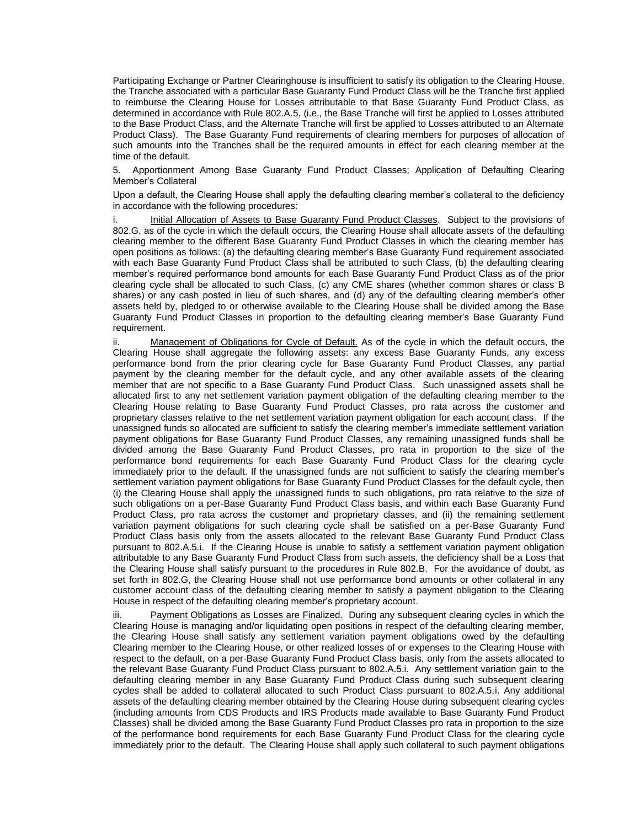Participating Exchange or Partner Clearinghouse is insufficient to satisfy its obligation to the Clearing House, the Tranche associated with a particular Base Guaranty Fund Product Class will be the Tranche first applied to reimburse the Clearing House for Losses attributable to that Base Guaranty Fund Product Class, as determined in accordance with Rule 802.A.5, (i.e., the Base Tranche will first be applied to Losses attributed to the Base Product Class, and the Alternate Tranche will first be applied to Losses attributed to an Alternate Product Class). The Base Guaranty Fund requirements of clearing members for purposes of allocation of such amounts into the Tranches shall be the required amounts in effect for each clearing member at the time of the default.

5. Apportionment Among Base Guaranty Fund Product Classes; Application of Defaulting Clearing Member's Collateral

Upon a default, the Clearing House shall apply the defaulting clearing member's collateral to the deficiency in accordance with the following procedures:

Initial Allocation of Assets to Base Guaranty Fund Product Classes. Subject to the provisions of 802.G, as of the cycle in which the default occurs, the Clearing House shall allocate assets of the defaulting clearing member to the different Base Guaranty Fund Product Classes in which the clearing member has open positions as follows: (a) the defaulting clearing member's Base Guaranty Fund requirement associated with each Base Guaranty Fund Product Class shall be attributed to such Class, (b) the defaulting clearing member's required performance bond amounts for each Base Guaranty Fund Product Class as of the prior clearing cycle shall be allocated to such Class, (c) any CME shares (whether common shares or class B shares) or any cash posted in lieu of such shares, and (d) any of the defaulting clearing member's other assets held by, pledged to or otherwise available to the Clearing House shall be divided among the Base Guaranty Fund Product Classes in proportion to the defaulting clearing member's Base Guaranty Fund requirement.

ii. Management of Obligations for Cycle of Default. As of the cycle in which the default occurs, the Clearing House shall aggregate the following assets: any excess Base Guaranty Funds, any excess performance bond from the prior clearing cycle for Base Guaranty Fund Product Classes, any partial payment by the clearing member for the default cycle, and any other available assets of the clearing member that are not specific to a Base Guaranty Fund Product Class. Such unassigned assets shall be allocated first to any net settlement variation payment obligation of the defaulting clearing member to the Clearing House relating to Base Guaranty Fund Product Classes, pro rata across the customer and proprietary classes relative to the net settlement variation payment obligation for each account class. If the unassigned funds so allocated are sufficient to satisfy the clearing member's immediate settlement variation payment obligations for Base Guaranty Fund Product Classes, any remaining unassigned funds shall be divided among the Base Guaranty Fund Product Classes, pro rata in proportion to the size of the performance bond requirements for each Base Guaranty Fund Product Class for the clearing cycle immediately prior to the default. If the unassigned funds are not sufficient to satisfy the clearing member's settlement variation payment obligations for Base Guaranty Fund Product Classes for the default cycle, then (i) the Clearing House shall apply the unassigned funds to such obligations, pro rata relative to the size of such obligations on a per-Base Guaranty Fund Product Class basis, and within each Base Guaranty Fund Product Class, pro rata across the customer and proprietary classes, and (ii) the remaining settlement variation payment obligations for such clearing cycle shall be satisfied on a per-Base Guaranty Fund Product Class basis only from the assets allocated to the relevant Base Guaranty Fund Product Class pursuant to 802.A.5.i. If the Clearing House is unable to satisfy a settlement variation payment obligation attributable to any Base Guaranty Fund Product Class from such assets, the deficiency shall be a Loss that the Clearing House shall satisfy pursuant to the procedures in Rule 802.B. For the avoidance of doubt, as set forth in 802.G, the Clearing House shall not use performance bond amounts or other collateral in any customer account class of the defaulting clearing member to satisfy a payment obligation to the Clearing House in respect of the defaulting clearing member's proprietary account.

iii. Payment Obligations as Losses are Finalized. During any subsequent clearing cycles in which the Clearing House is managing and/or liquidating open positions in respect of the defaulting clearing member, the Clearing House shall satisfy any settlement variation payment obligations owed by the defaulting Clearing member to the Clearing House, or other realized losses of or expenses to the Clearing House with respect to the default, on a per-Base Guaranty Fund Product Class basis, only from the assets allocated to the relevant Base Guaranty Fund Product Class pursuant to 802.A.5.i. Any settlement variation gain to the defaulting clearing member in any Base Guaranty Fund Product Class during such subsequent clearing cycles shall be added to collateral allocated to such Product Class pursuant to 802.A.5.i. Any additional assets of the defaulting clearing member obtained by the Clearing House during subsequent clearing cycles (including amounts from CDS Products and IRS Products made available to Base Guaranty Fund Product Classes) shall be divided among the Base Guaranty Fund Product Classes pro rata in proportion to the size of the performance bond requirements for each Base Guaranty Fund Product Class for the clearing cycle immediately prior to the default. The Clearing House shall apply such collateral to such payment obligations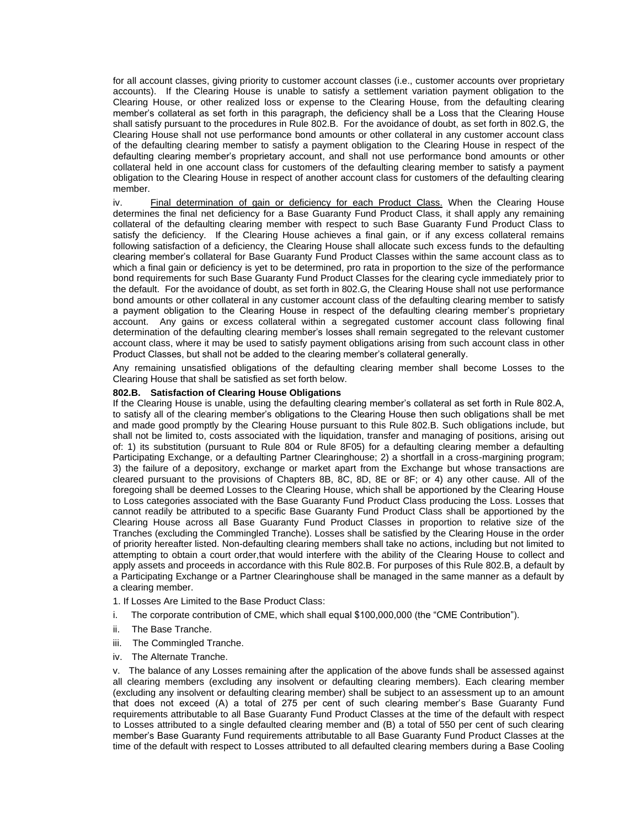for all account classes, giving priority to customer account classes (i.e., customer accounts over proprietary accounts). If the Clearing House is unable to satisfy a settlement variation payment obligation to the Clearing House, or other realized loss or expense to the Clearing House, from the defaulting clearing member's collateral as set forth in this paragraph, the deficiency shall be a Loss that the Clearing House shall satisfy pursuant to the procedures in Rule 802.B. For the avoidance of doubt, as set forth in 802.G, the Clearing House shall not use performance bond amounts or other collateral in any customer account class of the defaulting clearing member to satisfy a payment obligation to the Clearing House in respect of the defaulting clearing member's proprietary account, and shall not use performance bond amounts or other collateral held in one account class for customers of the defaulting clearing member to satisfy a payment obligation to the Clearing House in respect of another account class for customers of the defaulting clearing member.

iv. Final determination of gain or deficiency for each Product Class. When the Clearing House determines the final net deficiency for a Base Guaranty Fund Product Class, it shall apply any remaining collateral of the defaulting clearing member with respect to such Base Guaranty Fund Product Class to satisfy the deficiency. If the Clearing House achieves a final gain, or if any excess collateral remains following satisfaction of a deficiency, the Clearing House shall allocate such excess funds to the defaulting clearing member's collateral for Base Guaranty Fund Product Classes within the same account class as to which a final gain or deficiency is yet to be determined, pro rata in proportion to the size of the performance bond requirements for such Base Guaranty Fund Product Classes for the clearing cycle immediately prior to the default. For the avoidance of doubt, as set forth in 802.G, the Clearing House shall not use performance bond amounts or other collateral in any customer account class of the defaulting clearing member to satisfy a payment obligation to the Clearing House in respect of the defaulting clearing member's proprietary account. Any gains or excess collateral within a segregated customer account class following final determination of the defaulting clearing member's losses shall remain segregated to the relevant customer account class, where it may be used to satisfy payment obligations arising from such account class in other Product Classes, but shall not be added to the clearing member's collateral generally.

Any remaining unsatisfied obligations of the defaulting clearing member shall become Losses to the Clearing House that shall be satisfied as set forth below.

#### **802.B. Satisfaction of Clearing House Obligations**

If the Clearing House is unable, using the defaulting clearing member's collateral as set forth in Rule 802.A, to satisfy all of the clearing member's obligations to the Clearing House then such obligations shall be met and made good promptly by the Clearing House pursuant to this Rule 802.B. Such obligations include, but shall not be limited to, costs associated with the liquidation, transfer and managing of positions, arising out of: 1) its substitution (pursuant to Rule 804 or Rule 8F05) for a defaulting clearing member a defaulting Participating Exchange, or a defaulting Partner Clearinghouse; 2) a shortfall in a cross-margining program; 3) the failure of a depository, exchange or market apart from the Exchange but whose transactions are cleared pursuant to the provisions of Chapters 8B, 8C, 8D, 8E or 8F; or 4) any other cause. All of the foregoing shall be deemed Losses to the Clearing House, which shall be apportioned by the Clearing House to Loss categories associated with the Base Guaranty Fund Product Class producing the Loss. Losses that cannot readily be attributed to a specific Base Guaranty Fund Product Class shall be apportioned by the Clearing House across all Base Guaranty Fund Product Classes in proportion to relative size of the Tranches (excluding the Commingled Tranche). Losses shall be satisfied by the Clearing House in the order of priority hereafter listed. Non-defaulting clearing members shall take no actions, including but not limited to attempting to obtain a court order,that would interfere with the ability of the Clearing House to collect and apply assets and proceeds in accordance with this Rule 802.B. For purposes of this Rule 802.B, a default by a Participating Exchange or a Partner Clearinghouse shall be managed in the same manner as a default by a clearing member.

- 1. If Losses Are Limited to the Base Product Class:
- i. The corporate contribution of CME, which shall equal \$100,000,000 (the "CME Contribution").
- ii. The Base Tranche.
- iii. The Commingled Tranche.
- iv. The Alternate Tranche.

v. The balance of any Losses remaining after the application of the above funds shall be assessed against all clearing members (excluding any insolvent or defaulting clearing members). Each clearing member (excluding any insolvent or defaulting clearing member) shall be subject to an assessment up to an amount that does not exceed (A) a total of 275 per cent of such clearing member's Base Guaranty Fund requirements attributable to all Base Guaranty Fund Product Classes at the time of the default with respect to Losses attributed to a single defaulted clearing member and (B) a total of 550 per cent of such clearing member's Base Guaranty Fund requirements attributable to all Base Guaranty Fund Product Classes at the time of the default with respect to Losses attributed to all defaulted clearing members during a Base Cooling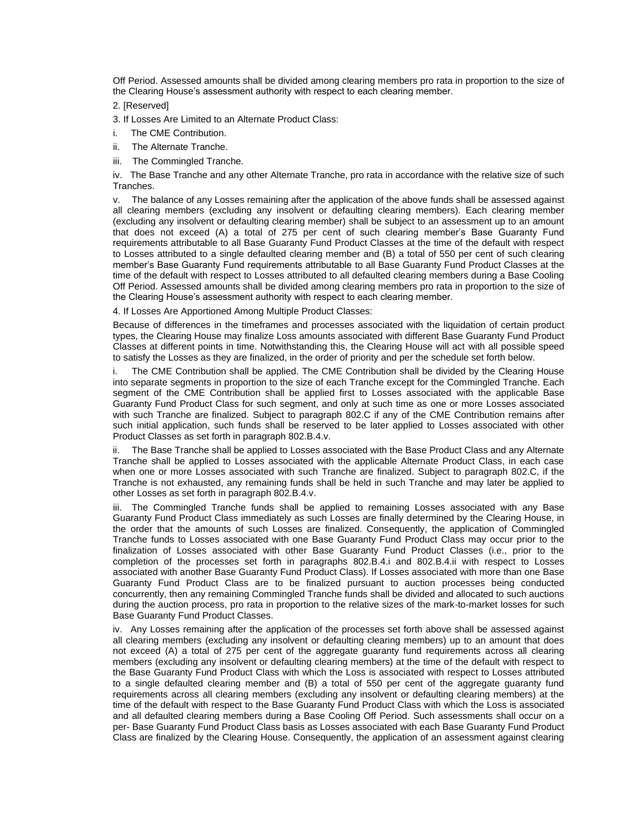Off Period. Assessed amounts shall be divided among clearing members pro rata in proportion to the size of the Clearing House's assessment authority with respect to each clearing member.

2. [Reserved]

3. If Losses Are Limited to an Alternate Product Class:

- i. The CME Contribution.
- ii. The Alternate Tranche.
- iii. The Commingled Tranche.

iv. The Base Tranche and any other Alternate Tranche, pro rata in accordance with the relative size of such Tranches.

v. The balance of any Losses remaining after the application of the above funds shall be assessed against all clearing members (excluding any insolvent or defaulting clearing members). Each clearing member (excluding any insolvent or defaulting clearing member) shall be subject to an assessment up to an amount that does not exceed (A) a total of 275 per cent of such clearing member's Base Guaranty Fund requirements attributable to all Base Guaranty Fund Product Classes at the time of the default with respect to Losses attributed to a single defaulted clearing member and (B) a total of 550 per cent of such clearing member's Base Guaranty Fund requirements attributable to all Base Guaranty Fund Product Classes at the time of the default with respect to Losses attributed to all defaulted clearing members during a Base Cooling Off Period. Assessed amounts shall be divided among clearing members pro rata in proportion to the size of the Clearing House's assessment authority with respect to each clearing member.

4. If Losses Are Apportioned Among Multiple Product Classes:

Because of differences in the timeframes and processes associated with the liquidation of certain product types, the Clearing House may finalize Loss amounts associated with different Base Guaranty Fund Product Classes at different points in time. Notwithstanding this, the Clearing House will act with all possible speed to satisfy the Losses as they are finalized, in the order of priority and per the schedule set forth below.

i. The CME Contribution shall be applied. The CME Contribution shall be divided by the Clearing House into separate segments in proportion to the size of each Tranche except for the Commingled Tranche. Each segment of the CME Contribution shall be applied first to Losses associated with the applicable Base Guaranty Fund Product Class for such segment, and only at such time as one or more Losses associated with such Tranche are finalized. Subject to paragraph 802.C if any of the CME Contribution remains after such initial application, such funds shall be reserved to be later applied to Losses associated with other Product Classes as set forth in paragraph 802.B.4.v.

ii. The Base Tranche shall be applied to Losses associated with the Base Product Class and any Alternate Tranche shall be applied to Losses associated with the applicable Alternate Product Class, in each case when one or more Losses associated with such Tranche are finalized. Subject to paragraph 802.C, if the Tranche is not exhausted, any remaining funds shall be held in such Tranche and may later be applied to other Losses as set forth in paragraph 802.B.4.v.

iii. The Commingled Tranche funds shall be applied to remaining Losses associated with any Base Guaranty Fund Product Class immediately as such Losses are finally determined by the Clearing House, in the order that the amounts of such Losses are finalized. Consequently, the application of Commingled Tranche funds to Losses associated with one Base Guaranty Fund Product Class may occur prior to the finalization of Losses associated with other Base Guaranty Fund Product Classes (i.e., prior to the completion of the processes set forth in paragraphs 802.B.4.i and 802.B.4.ii with respect to Losses associated with another Base Guaranty Fund Product Class). If Losses associated with more than one Base Guaranty Fund Product Class are to be finalized pursuant to auction processes being conducted concurrently, then any remaining Commingled Tranche funds shall be divided and allocated to such auctions during the auction process, pro rata in proportion to the relative sizes of the mark-to-market losses for such Base Guaranty Fund Product Classes.

iv. Any Losses remaining after the application of the processes set forth above shall be assessed against all clearing members (excluding any insolvent or defaulting clearing members) up to an amount that does not exceed (A) a total of 275 per cent of the aggregate guaranty fund requirements across all clearing members (excluding any insolvent or defaulting clearing members) at the time of the default with respect to the Base Guaranty Fund Product Class with which the Loss is associated with respect to Losses attributed to a single defaulted clearing member and (B) a total of 550 per cent of the aggregate guaranty fund requirements across all clearing members (excluding any insolvent or defaulting clearing members) at the time of the default with respect to the Base Guaranty Fund Product Class with which the Loss is associated and all defaulted clearing members during a Base Cooling Off Period. Such assessments shall occur on a per- Base Guaranty Fund Product Class basis as Losses associated with each Base Guaranty Fund Product Class are finalized by the Clearing House. Consequently, the application of an assessment against clearing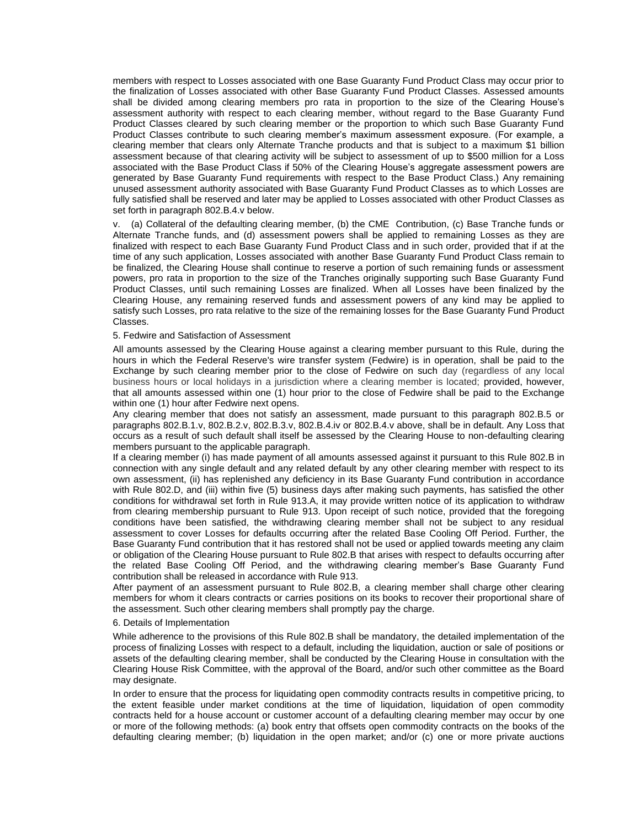members with respect to Losses associated with one Base Guaranty Fund Product Class may occur prior to the finalization of Losses associated with other Base Guaranty Fund Product Classes. Assessed amounts shall be divided among clearing members pro rata in proportion to the size of the Clearing House's assessment authority with respect to each clearing member, without regard to the Base Guaranty Fund Product Classes cleared by such clearing member or the proportion to which such Base Guaranty Fund Product Classes contribute to such clearing member's maximum assessment exposure. (For example, a clearing member that clears only Alternate Tranche products and that is subject to a maximum \$1 billion assessment because of that clearing activity will be subject to assessment of up to \$500 million for a Loss associated with the Base Product Class if 50% of the Clearing House's aggregate assessment powers are generated by Base Guaranty Fund requirements with respect to the Base Product Class.) Any remaining unused assessment authority associated with Base Guaranty Fund Product Classes as to which Losses are fully satisfied shall be reserved and later may be applied to Losses associated with other Product Classes as set forth in paragraph 802.B.4.v below.

v. (a) Collateral of the defaulting clearing member, (b) the CME Contribution, (c) Base Tranche funds or Alternate Tranche funds, and (d) assessment powers shall be applied to remaining Losses as they are finalized with respect to each Base Guaranty Fund Product Class and in such order, provided that if at the time of any such application, Losses associated with another Base Guaranty Fund Product Class remain to be finalized, the Clearing House shall continue to reserve a portion of such remaining funds or assessment powers, pro rata in proportion to the size of the Tranches originally supporting such Base Guaranty Fund Product Classes, until such remaining Losses are finalized. When all Losses have been finalized by the Clearing House, any remaining reserved funds and assessment powers of any kind may be applied to satisfy such Losses, pro rata relative to the size of the remaining losses for the Base Guaranty Fund Product Classes.

#### 5. Fedwire and Satisfaction of Assessment

All amounts assessed by the Clearing House against a clearing member pursuant to this Rule, during the hours in which the Federal Reserve's wire transfer system (Fedwire) is in operation, shall be paid to the Exchange by such clearing member prior to the close of Fedwire on such day (regardless of any local business hours or local holidays in a jurisdiction where a clearing member is located; provided, however, that all amounts assessed within one (1) hour prior to the close of Fedwire shall be paid to the Exchange within one (1) hour after Fedwire next opens.

Any clearing member that does not satisfy an assessment, made pursuant to this paragraph 802.B.5 or paragraphs 802.B.1.v, 802.B.2.v, 802.B.3.v, 802.B.4.iv or 802.B.4.v above, shall be in default. Any Loss that occurs as a result of such default shall itself be assessed by the Clearing House to non-defaulting clearing members pursuant to the applicable paragraph.

If a clearing member (i) has made payment of all amounts assessed against it pursuant to this Rule 802.B in connection with any single default and any related default by any other clearing member with respect to its own assessment, (ii) has replenished any deficiency in its Base Guaranty Fund contribution in accordance with Rule 802.D, and (iii) within five (5) business days after making such payments, has satisfied the other conditions for withdrawal set forth in Rule 913.A, it may provide written notice of its application to withdraw from clearing membership pursuant to Rule 913. Upon receipt of such notice, provided that the foregoing conditions have been satisfied, the withdrawing clearing member shall not be subject to any residual assessment to cover Losses for defaults occurring after the related Base Cooling Off Period. Further, the Base Guaranty Fund contribution that it has restored shall not be used or applied towards meeting any claim or obligation of the Clearing House pursuant to Rule 802.B that arises with respect to defaults occurring after the related Base Cooling Off Period, and the withdrawing clearing member's Base Guaranty Fund contribution shall be released in accordance with Rule 913.

After payment of an assessment pursuant to Rule 802.B, a clearing member shall charge other clearing members for whom it clears contracts or carries positions on its books to recover their proportional share of the assessment. Such other clearing members shall promptly pay the charge.

#### 6. Details of Implementation

While adherence to the provisions of this Rule 802.B shall be mandatory, the detailed implementation of the process of finalizing Losses with respect to a default, including the liquidation, auction or sale of positions or assets of the defaulting clearing member, shall be conducted by the Clearing House in consultation with the Clearing House Risk Committee, with the approval of the Board, and/or such other committee as the Board may designate.

In order to ensure that the process for liquidating open commodity contracts results in competitive pricing, to the extent feasible under market conditions at the time of liquidation, liquidation of open commodity contracts held for a house account or customer account of a defaulting clearing member may occur by one or more of the following methods: (a) book entry that offsets open commodity contracts on the books of the defaulting clearing member; (b) liquidation in the open market; and/or (c) one or more private auctions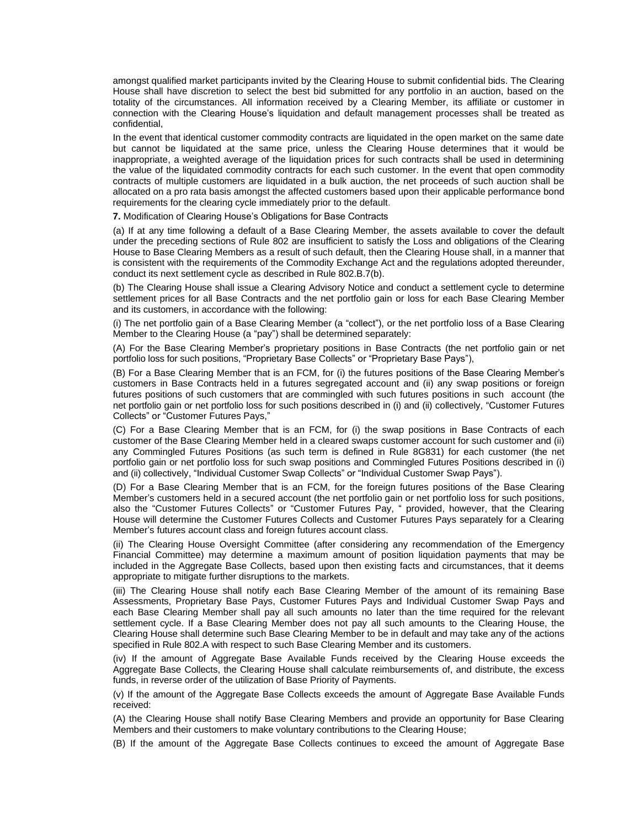amongst qualified market participants invited by the Clearing House to submit confidential bids. The Clearing House shall have discretion to select the best bid submitted for any portfolio in an auction, based on the totality of the circumstances. All information received by a Clearing Member, its affiliate or customer in connection with the Clearing House's liquidation and default management processes shall be treated as confidential,

In the event that identical customer commodity contracts are liquidated in the open market on the same date but cannot be liquidated at the same price, unless the Clearing House determines that it would be inappropriate, a weighted average of the liquidation prices for such contracts shall be used in determining the value of the liquidated commodity contracts for each such customer. In the event that open commodity contracts of multiple customers are liquidated in a bulk auction, the net proceeds of such auction shall be allocated on a pro rata basis amongst the affected customers based upon their applicable performance bond requirements for the clearing cycle immediately prior to the default.

**7.** Modification of Clearing House's Obligations for Base Contracts

(a) If at any time following a default of a Base Clearing Member, the assets available to cover the default under the preceding sections of Rule 802 are insufficient to satisfy the Loss and obligations of the Clearing House to Base Clearing Members as a result of such default, then the Clearing House shall, in a manner that is consistent with the requirements of the Commodity Exchange Act and the regulations adopted thereunder, conduct its next settlement cycle as described in Rule 802.B.7(b).

(b) The Clearing House shall issue a Clearing Advisory Notice and conduct a settlement cycle to determine settlement prices for all Base Contracts and the net portfolio gain or loss for each Base Clearing Member and its customers, in accordance with the following:

(i) The net portfolio gain of a Base Clearing Member (a "collect"), or the net portfolio loss of a Base Clearing Member to the Clearing House (a "pay") shall be determined separately:

(A) For the Base Clearing Member's proprietary positions in Base Contracts (the net portfolio gain or net portfolio loss for such positions, "Proprietary Base Collects" or "Proprietary Base Pays"),

(B) For a Base Clearing Member that is an FCM, for (i) the futures positions of the Base Clearing Member's customers in Base Contracts held in a futures segregated account and (ii) any swap positions or foreign futures positions of such customers that are commingled with such futures positions in such account (the net portfolio gain or net portfolio loss for such positions described in (i) and (ii) collectively, "Customer Futures Collects" or "Customer Futures Pays,"

(C) For a Base Clearing Member that is an FCM, for (i) the swap positions in Base Contracts of each customer of the Base Clearing Member held in a cleared swaps customer account for such customer and (ii) any Commingled Futures Positions (as such term is defined in Rule 8G831) for each customer (the net portfolio gain or net portfolio loss for such swap positions and Commingled Futures Positions described in (i) and (ii) collectively, "Individual Customer Swap Collects" or "Individual Customer Swap Pays").

(D) For a Base Clearing Member that is an FCM, for the foreign futures positions of the Base Clearing Member's customers held in a secured account (the net portfolio gain or net portfolio loss for such positions, also the "Customer Futures Collects" or "Customer Futures Pay, " provided, however, that the Clearing House will determine the Customer Futures Collects and Customer Futures Pays separately for a Clearing Member's futures account class and foreign futures account class.

(ii) The Clearing House Oversight Committee (after considering any recommendation of the Emergency Financial Committee) may determine a maximum amount of position liquidation payments that may be included in the Aggregate Base Collects, based upon then existing facts and circumstances, that it deems appropriate to mitigate further disruptions to the markets.

(iii) The Clearing House shall notify each Base Clearing Member of the amount of its remaining Base Assessments, Proprietary Base Pays, Customer Futures Pays and Individual Customer Swap Pays and each Base Clearing Member shall pay all such amounts no later than the time required for the relevant settlement cycle. If a Base Clearing Member does not pay all such amounts to the Clearing House, the Clearing House shall determine such Base Clearing Member to be in default and may take any of the actions specified in Rule 802.A with respect to such Base Clearing Member and its customers.

(iv) If the amount of Aggregate Base Available Funds received by the Clearing House exceeds the Aggregate Base Collects, the Clearing House shall calculate reimbursements of, and distribute, the excess funds, in reverse order of the utilization of Base Priority of Payments.

(v) If the amount of the Aggregate Base Collects exceeds the amount of Aggregate Base Available Funds received:

(A) the Clearing House shall notify Base Clearing Members and provide an opportunity for Base Clearing Members and their customers to make voluntary contributions to the Clearing House;

(B) If the amount of the Aggregate Base Collects continues to exceed the amount of Aggregate Base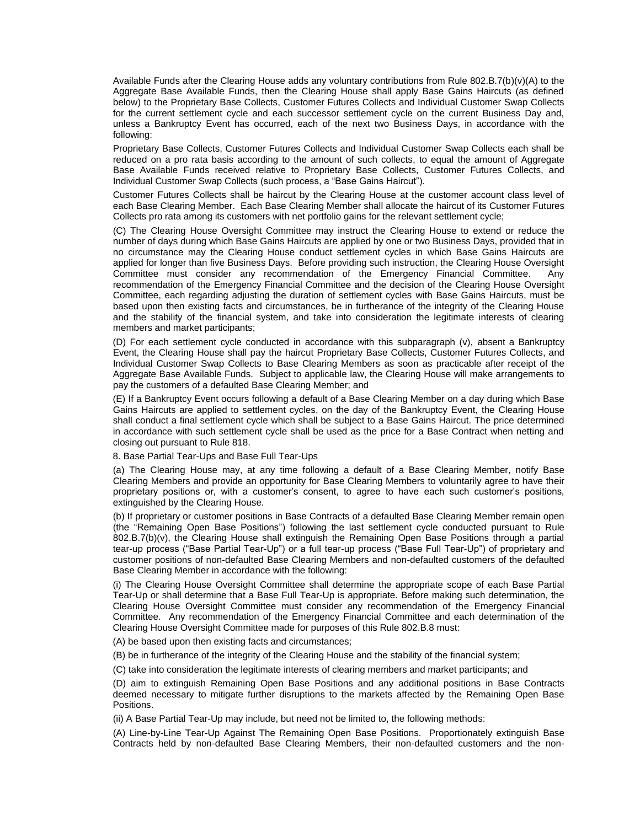Available Funds after the Clearing House adds any voluntary contributions from Rule 802.B.7(b)(v)(A) to the Aggregate Base Available Funds, then the Clearing House shall apply Base Gains Haircuts (as defined below) to the Proprietary Base Collects, Customer Futures Collects and Individual Customer Swap Collects for the current settlement cycle and each successor settlement cycle on the current Business Day and, unless a Bankruptcy Event has occurred, each of the next two Business Days, in accordance with the following:

Proprietary Base Collects, Customer Futures Collects and Individual Customer Swap Collects each shall be reduced on a pro rata basis according to the amount of such collects, to equal the amount of Aggregate Base Available Funds received relative to Proprietary Base Collects, Customer Futures Collects, and Individual Customer Swap Collects (such process, a "Base Gains Haircut").

Customer Futures Collects shall be haircut by the Clearing House at the customer account class level of each Base Clearing Member. Each Base Clearing Member shall allocate the haircut of its Customer Futures Collects pro rata among its customers with net portfolio gains for the relevant settlement cycle;

(C) The Clearing House Oversight Committee may instruct the Clearing House to extend or reduce the number of days during which Base Gains Haircuts are applied by one or two Business Days, provided that in no circumstance may the Clearing House conduct settlement cycles in which Base Gains Haircuts are applied for longer than five Business Days. Before providing such instruction, the Clearing House Oversight Committee must consider any recommendation of the Emergency Financial Committee. Any recommendation of the Emergency Financial Committee and the decision of the Clearing House Oversight Committee, each regarding adjusting the duration of settlement cycles with Base Gains Haircuts, must be based upon then existing facts and circumstances, be in furtherance of the integrity of the Clearing House and the stability of the financial system, and take into consideration the legitimate interests of clearing members and market participants;

(D) For each settlement cycle conducted in accordance with this subparagraph (v), absent a Bankruptcy Event, the Clearing House shall pay the haircut Proprietary Base Collects, Customer Futures Collects, and Individual Customer Swap Collects to Base Clearing Members as soon as practicable after receipt of the Aggregate Base Available Funds. Subject to applicable law, the Clearing House will make arrangements to pay the customers of a defaulted Base Clearing Member; and

(E) If a Bankruptcy Event occurs following a default of a Base Clearing Member on a day during which Base Gains Haircuts are applied to settlement cycles, on the day of the Bankruptcy Event, the Clearing House shall conduct a final settlement cycle which shall be subject to a Base Gains Haircut. The price determined in accordance with such settlement cycle shall be used as the price for a Base Contract when netting and closing out pursuant to Rule 818.

8. Base Partial Tear-Ups and Base Full Tear-Ups

(a) The Clearing House may, at any time following a default of a Base Clearing Member, notify Base Clearing Members and provide an opportunity for Base Clearing Members to voluntarily agree to have their proprietary positions or, with a customer's consent, to agree to have each such customer's positions, extinguished by the Clearing House.

(b) If proprietary or customer positions in Base Contracts of a defaulted Base Clearing Member remain open (the "Remaining Open Base Positions") following the last settlement cycle conducted pursuant to Rule 802.B.7(b)(v), the Clearing House shall extinguish the Remaining Open Base Positions through a partial tear-up process ("Base Partial Tear-Up") or a full tear-up process ("Base Full Tear-Up") of proprietary and customer positions of non-defaulted Base Clearing Members and non-defaulted customers of the defaulted Base Clearing Member in accordance with the following:

(i) The Clearing House Oversight Committee shall determine the appropriate scope of each Base Partial Tear-Up or shall determine that a Base Full Tear-Up is appropriate. Before making such determination, the Clearing House Oversight Committee must consider any recommendation of the Emergency Financial Committee. Any recommendation of the Emergency Financial Committee and each determination of the Clearing House Oversight Committee made for purposes of this Rule 802.B.8 must:

(A) be based upon then existing facts and circumstances;

(B) be in furtherance of the integrity of the Clearing House and the stability of the financial system;

(C) take into consideration the legitimate interests of clearing members and market participants; and

(D) aim to extinguish Remaining Open Base Positions and any additional positions in Base Contracts deemed necessary to mitigate further disruptions to the markets affected by the Remaining Open Base Positions.

(ii) A Base Partial Tear-Up may include, but need not be limited to, the following methods:

(A) Line-by-Line Tear-Up Against The Remaining Open Base Positions. Proportionately extinguish Base Contracts held by non-defaulted Base Clearing Members, their non-defaulted customers and the non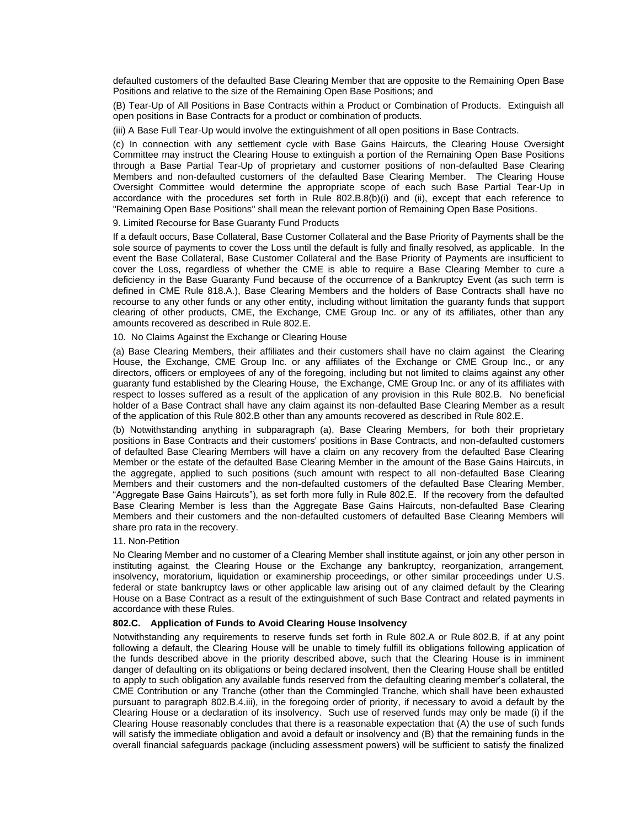defaulted customers of the defaulted Base Clearing Member that are opposite to the Remaining Open Base Positions and relative to the size of the Remaining Open Base Positions; and

(B) Tear-Up of All Positions in Base Contracts within a Product or Combination of Products. Extinguish all open positions in Base Contracts for a product or combination of products.

(iii) A Base Full Tear-Up would involve the extinguishment of all open positions in Base Contracts.

(c) In connection with any settlement cycle with Base Gains Haircuts, the Clearing House Oversight Committee may instruct the Clearing House to extinguish a portion of the Remaining Open Base Positions through a Base Partial Tear-Up of proprietary and customer positions of non-defaulted Base Clearing Members and non-defaulted customers of the defaulted Base Clearing Member. The Clearing House Oversight Committee would determine the appropriate scope of each such Base Partial Tear-Up in accordance with the procedures set forth in Rule 802.B.8(b)(i) and (ii), except that each reference to "Remaining Open Base Positions" shall mean the relevant portion of Remaining Open Base Positions.

9. Limited Recourse for Base Guaranty Fund Products

If a default occurs, Base Collateral, Base Customer Collateral and the Base Priority of Payments shall be the sole source of payments to cover the Loss until the default is fully and finally resolved, as applicable. In the event the Base Collateral, Base Customer Collateral and the Base Priority of Payments are insufficient to cover the Loss, regardless of whether the CME is able to require a Base Clearing Member to cure a deficiency in the Base Guaranty Fund because of the occurrence of a Bankruptcy Event (as such term is defined in CME Rule 818.A.), Base Clearing Members and the holders of Base Contracts shall have no recourse to any other funds or any other entity, including without limitation the guaranty funds that support clearing of other products, CME, the Exchange, CME Group Inc. or any of its affiliates, other than any amounts recovered as described in Rule 802.E.

#### 10. No Claims Against the Exchange or Clearing House

(a) Base Clearing Members, their affiliates and their customers shall have no claim against the Clearing House, the Exchange, CME Group Inc. or any affiliates of the Exchange or CME Group Inc., or any directors, officers or employees of any of the foregoing, including but not limited to claims against any other guaranty fund established by the Clearing House, the Exchange, CME Group Inc. or any of its affiliates with respect to losses suffered as a result of the application of any provision in this Rule 802.B. No beneficial holder of a Base Contract shall have any claim against its non-defaulted Base Clearing Member as a result of the application of this Rule 802.B other than any amounts recovered as described in Rule 802.E.

(b) Notwithstanding anything in subparagraph (a), Base Clearing Members, for both their proprietary positions in Base Contracts and their customers' positions in Base Contracts, and non-defaulted customers of defaulted Base Clearing Members will have a claim on any recovery from the defaulted Base Clearing Member or the estate of the defaulted Base Clearing Member in the amount of the Base Gains Haircuts, in the aggregate, applied to such positions (such amount with respect to all non-defaulted Base Clearing Members and their customers and the non-defaulted customers of the defaulted Base Clearing Member, "Aggregate Base Gains Haircuts"), as set forth more fully in Rule 802.E. If the recovery from the defaulted Base Clearing Member is less than the Aggregate Base Gains Haircuts, non-defaulted Base Clearing Members and their customers and the non-defaulted customers of defaulted Base Clearing Members will share pro rata in the recovery.

#### 11. Non-Petition

No Clearing Member and no customer of a Clearing Member shall institute against, or join any other person in instituting against, the Clearing House or the Exchange any bankruptcy, reorganization, arrangement, insolvency, moratorium, liquidation or examinership proceedings, or other similar proceedings under U.S. federal or state bankruptcy laws or other applicable law arising out of any claimed default by the Clearing House on a Base Contract as a result of the extinguishment of such Base Contract and related payments in accordance with these Rules.

#### **802.C. Application of Funds to Avoid Clearing House Insolvency**

Notwithstanding any requirements to reserve funds set forth in Rule 802.A or Rule 802.B, if at any point following a default, the Clearing House will be unable to timely fulfill its obligations following application of the funds described above in the priority described above, such that the Clearing House is in imminent danger of defaulting on its obligations or being declared insolvent, then the Clearing House shall be entitled to apply to such obligation any available funds reserved from the defaulting clearing member's collateral, the CME Contribution or any Tranche (other than the Commingled Tranche, which shall have been exhausted pursuant to paragraph 802.B.4.iii), in the foregoing order of priority, if necessary to avoid a default by the Clearing House or a declaration of its insolvency. Such use of reserved funds may only be made (i) if the Clearing House reasonably concludes that there is a reasonable expectation that (A) the use of such funds will satisfy the immediate obligation and avoid a default or insolvency and (B) that the remaining funds in the overall financial safeguards package (including assessment powers) will be sufficient to satisfy the finalized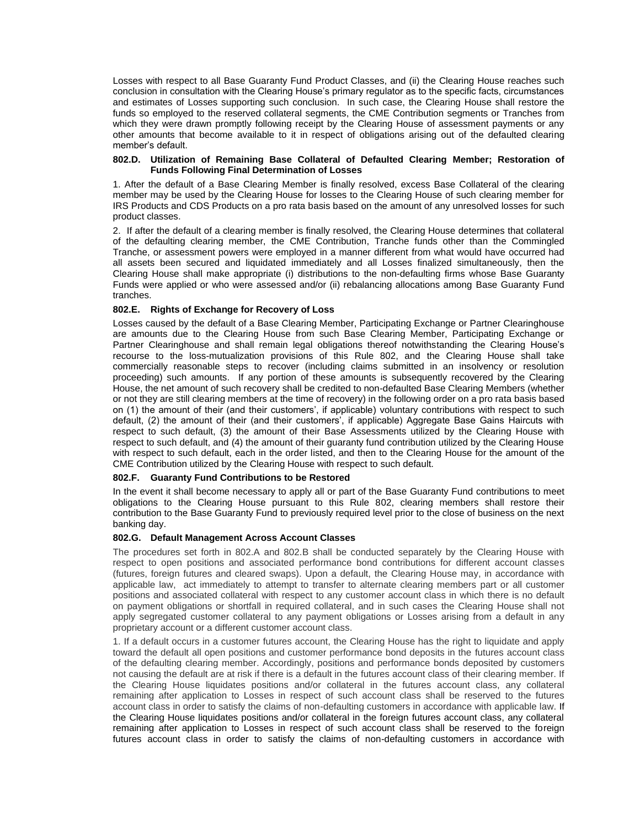Losses with respect to all Base Guaranty Fund Product Classes, and (ii) the Clearing House reaches such conclusion in consultation with the Clearing House's primary regulator as to the specific facts, circumstances and estimates of Losses supporting such conclusion. In such case, the Clearing House shall restore the funds so employed to the reserved collateral segments, the CME Contribution segments or Tranches from which they were drawn promptly following receipt by the Clearing House of assessment payments or any other amounts that become available to it in respect of obligations arising out of the defaulted clearing member's default.

#### **802.D. Utilization of Remaining Base Collateral of Defaulted Clearing Member; Restoration of Funds Following Final Determination of Losses**

1. After the default of a Base Clearing Member is finally resolved, excess Base Collateral of the clearing member may be used by the Clearing House for losses to the Clearing House of such clearing member for IRS Products and CDS Products on a pro rata basis based on the amount of any unresolved losses for such product classes.

2. If after the default of a clearing member is finally resolved, the Clearing House determines that collateral of the defaulting clearing member, the CME Contribution, Tranche funds other than the Commingled Tranche, or assessment powers were employed in a manner different from what would have occurred had all assets been secured and liquidated immediately and all Losses finalized simultaneously, then the Clearing House shall make appropriate (i) distributions to the non-defaulting firms whose Base Guaranty Funds were applied or who were assessed and/or (ii) rebalancing allocations among Base Guaranty Fund tranches.

## **802.E. Rights of Exchange for Recovery of Loss**

Losses caused by the default of a Base Clearing Member, Participating Exchange or Partner Clearinghouse are amounts due to the Clearing House from such Base Clearing Member, Participating Exchange or Partner Clearinghouse and shall remain legal obligations thereof notwithstanding the Clearing House's recourse to the loss-mutualization provisions of this Rule 802, and the Clearing House shall take commercially reasonable steps to recover (including claims submitted in an insolvency or resolution proceeding) such amounts. If any portion of these amounts is subsequently recovered by the Clearing House, the net amount of such recovery shall be credited to non-defaulted Base Clearing Members (whether or not they are still clearing members at the time of recovery) in the following order on a pro rata basis based on (1) the amount of their (and their customers', if applicable) voluntary contributions with respect to such default, (2) the amount of their (and their customers', if applicable) Aggregate Base Gains Haircuts with respect to such default, (3) the amount of their Base Assessments utilized by the Clearing House with respect to such default, and (4) the amount of their guaranty fund contribution utilized by the Clearing House with respect to such default, each in the order listed, and then to the Clearing House for the amount of the CME Contribution utilized by the Clearing House with respect to such default.

#### **802.F. Guaranty Fund Contributions to be Restored**

In the event it shall become necessary to apply all or part of the Base Guaranty Fund contributions to meet obligations to the Clearing House pursuant to this Rule 802, clearing members shall restore their contribution to the Base Guaranty Fund to previously required level prior to the close of business on the next banking day.

#### **802.G. Default Management Across Account Classes**

The procedures set forth in 802.A and 802.B shall be conducted separately by the Clearing House with respect to open positions and associated performance bond contributions for different account classes (futures, foreign futures and cleared swaps). Upon a default, the Clearing House may, in accordance with applicable law, act immediately to attempt to transfer to alternate clearing members part or all customer positions and associated collateral with respect to any customer account class in which there is no default on payment obligations or shortfall in required collateral, and in such cases the Clearing House shall not apply segregated customer collateral to any payment obligations or Losses arising from a default in any proprietary account or a different customer account class.

1. If a default occurs in a customer futures account, the Clearing House has the right to liquidate and apply toward the default all open positions and customer performance bond deposits in the futures account class of the defaulting clearing member. Accordingly, positions and performance bonds deposited by customers not causing the default are at risk if there is a default in the futures account class of their clearing member. If the Clearing House liquidates positions and/or collateral in the futures account class, any collateral remaining after application to Losses in respect of such account class shall be reserved to the futures account class in order to satisfy the claims of non-defaulting customers in accordance with applicable law. If the Clearing House liquidates positions and/or collateral in the foreign futures account class, any collateral remaining after application to Losses in respect of such account class shall be reserved to the foreign futures account class in order to satisfy the claims of non-defaulting customers in accordance with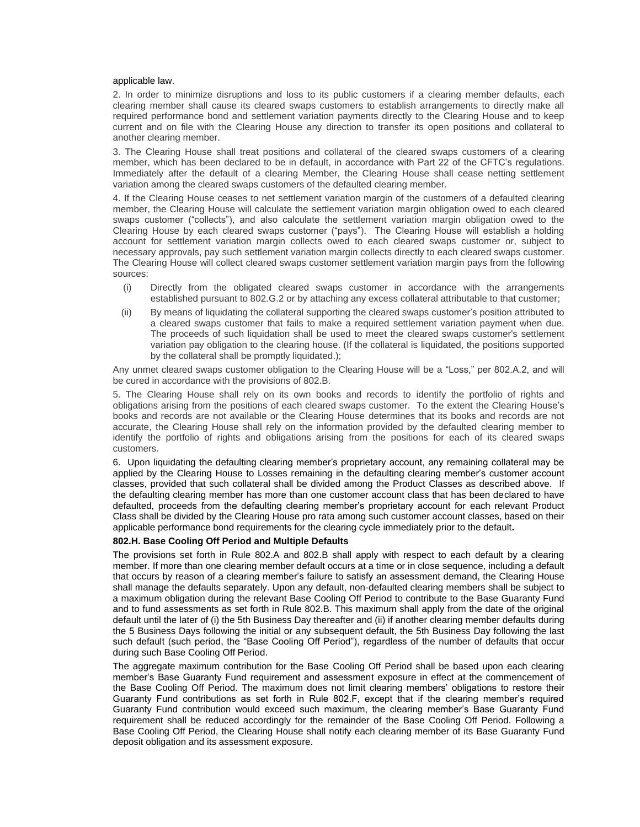#### applicable law.

2. In order to minimize disruptions and loss to its public customers if a clearing member defaults, each clearing member shall cause its cleared swaps customers to establish arrangements to directly make all required performance bond and settlement variation payments directly to the Clearing House and to keep current and on file with the Clearing House any direction to transfer its open positions and collateral to another clearing member.

3. The Clearing House shall treat positions and collateral of the cleared swaps customers of a clearing member, which has been declared to be in default, in accordance with Part 22 of the CFTC's regulations. Immediately after the default of a clearing Member, the Clearing House shall cease netting settlement variation among the cleared swaps customers of the defaulted clearing member.

4. If the Clearing House ceases to net settlement variation margin of the customers of a defaulted clearing member, the Clearing House will calculate the settlement variation margin obligation owed to each cleared swaps customer ("collects"), and also calculate the settlement variation margin obligation owed to the Clearing House by each cleared swaps customer ("pays"). The Clearing House will establish a holding account for settlement variation margin collects owed to each cleared swaps customer or, subject to necessary approvals, pay such settlement variation margin collects directly to each cleared swaps customer. The Clearing House will collect cleared swaps customer settlement variation margin pays from the following sources:

- (i) Directly from the obligated cleared swaps customer in accordance with the arrangements established pursuant to 802.G.2 or by attaching any excess collateral attributable to that customer;
- (ii) By means of liquidating the collateral supporting the cleared swaps customer's position attributed to a cleared swaps customer that fails to make a required settlement variation payment when due. The proceeds of such liquidation shall be used to meet the cleared swaps customer's settlement variation pay obligation to the clearing house. (If the collateral is liquidated, the positions supported by the collateral shall be promptly liquidated.);

Any unmet cleared swaps customer obligation to the Clearing House will be a "Loss," per 802.A.2, and will be cured in accordance with the provisions of 802.B.

5. The Clearing House shall rely on its own books and records to identify the portfolio of rights and obligations arising from the positions of each cleared swaps customer. To the extent the Clearing House's books and records are not available or the Clearing House determines that its books and records are not accurate, the Clearing House shall rely on the information provided by the defaulted clearing member to identify the portfolio of rights and obligations arising from the positions for each of its cleared swaps customers.

6. Upon liquidating the defaulting clearing member's proprietary account, any remaining collateral may be applied by the Clearing House to Losses remaining in the defaulting clearing member's customer account classes, provided that such collateral shall be divided among the Product Classes as described above. If the defaulting clearing member has more than one customer account class that has been declared to have defaulted, proceeds from the defaulting clearing member's proprietary account for each relevant Product Class shall be divided by the Clearing House pro rata among such customer account classes, based on their applicable performance bond requirements for the clearing cycle immediately prior to the default**.** 

#### **802.H. Base Cooling Off Period and Multiple Defaults**

The provisions set forth in Rule 802.A and 802.B shall apply with respect to each default by a clearing member. If more than one clearing member default occurs at a time or in close sequence, including a default that occurs by reason of a clearing member's failure to satisfy an assessment demand, the Clearing House shall manage the defaults separately. Upon any default, non-defaulted clearing members shall be subject to a maximum obligation during the relevant Base Cooling Off Period to contribute to the Base Guaranty Fund and to fund assessments as set forth in Rule 802.B. This maximum shall apply from the date of the original default until the later of (i) the 5th Business Day thereafter and (ii) if another clearing member defaults during the 5 Business Days following the initial or any subsequent default, the 5th Business Day following the last such default (such period, the "Base Cooling Off Period"), regardless of the number of defaults that occur during such Base Cooling Off Period.

The aggregate maximum contribution for the Base Cooling Off Period shall be based upon each clearing member's Base Guaranty Fund requirement and assessment exposure in effect at the commencement of the Base Cooling Off Period. The maximum does not limit clearing members' obligations to restore their Guaranty Fund contributions as set forth in Rule 802.F, except that if the clearing member's required Guaranty Fund contribution would exceed such maximum, the clearing member's Base Guaranty Fund requirement shall be reduced accordingly for the remainder of the Base Cooling Off Period. Following a Base Cooling Off Period, the Clearing House shall notify each clearing member of its Base Guaranty Fund deposit obligation and its assessment exposure.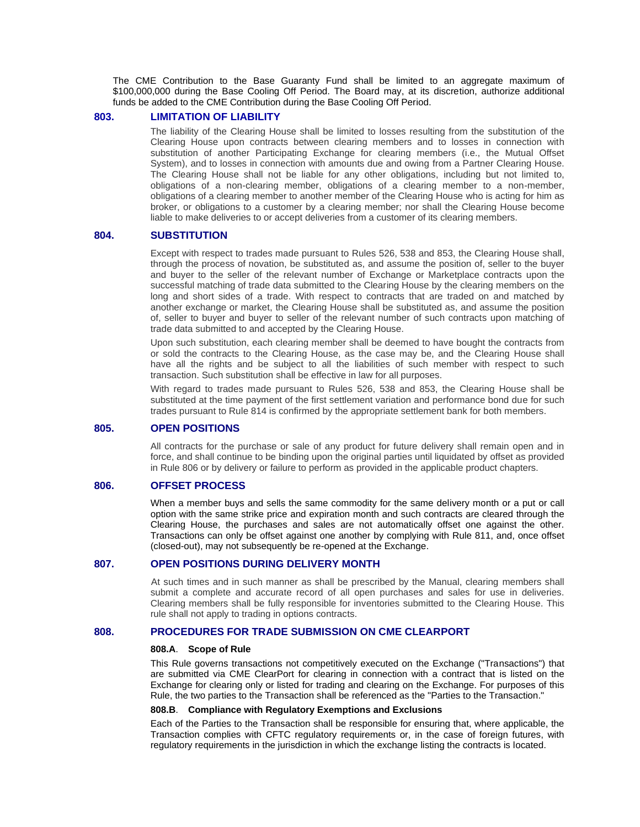The CME Contribution to the Base Guaranty Fund shall be limited to an aggregate maximum of \$100,000,000 during the Base Cooling Off Period. The Board may, at its discretion, authorize additional funds be added to the CME Contribution during the Base Cooling Off Period.

## **803. LIMITATION OF LIABILITY**

The liability of the Clearing House shall be limited to losses resulting from the substitution of the Clearing House upon contracts between clearing members and to losses in connection with substitution of another Participating Exchange for clearing members (i.e., the Mutual Offset System), and to losses in connection with amounts due and owing from a Partner Clearing House. The Clearing House shall not be liable for any other obligations, including but not limited to, obligations of a non-clearing member, obligations of a clearing member to a non-member, obligations of a clearing member to another member of the Clearing House who is acting for him as broker, or obligations to a customer by a clearing member; nor shall the Clearing House become liable to make deliveries to or accept deliveries from a customer of its clearing members.

## **804. SUBSTITUTION**

Except with respect to trades made pursuant to Rules 526, 538 and 853, the Clearing House shall, through the process of novation, be substituted as, and assume the position of, seller to the buyer and buyer to the seller of the relevant number of Exchange or Marketplace contracts upon the successful matching of trade data submitted to the Clearing House by the clearing members on the long and short sides of a trade. With respect to contracts that are traded on and matched by another exchange or market, the Clearing House shall be substituted as, and assume the position of, seller to buyer and buyer to seller of the relevant number of such contracts upon matching of trade data submitted to and accepted by the Clearing House.

Upon such substitution, each clearing member shall be deemed to have bought the contracts from or sold the contracts to the Clearing House, as the case may be, and the Clearing House shall have all the rights and be subject to all the liabilities of such member with respect to such transaction. Such substitution shall be effective in law for all purposes.

With regard to trades made pursuant to Rules 526, 538 and 853, the Clearing House shall be substituted at the time payment of the first settlement variation and performance bond due for such trades pursuant to Rule 814 is confirmed by the appropriate settlement bank for both members.

## **805. OPEN POSITIONS**

All contracts for the purchase or sale of any product for future delivery shall remain open and in force, and shall continue to be binding upon the original parties until liquidated by offset as provided in Rule 806 or by delivery or failure to perform as provided in the applicable product chapters.

## **806. OFFSET PROCESS**

When a member buys and sells the same commodity for the same delivery month or a put or call option with the same strike price and expiration month and such contracts are cleared through the Clearing House, the purchases and sales are not automatically offset one against the other. Transactions can only be offset against one another by complying with Rule 811, and, once offset (closed-out), may not subsequently be re-opened at the Exchange.

#### **807. OPEN POSITIONS DURING DELIVERY MONTH**

At such times and in such manner as shall be prescribed by the Manual, clearing members shall submit a complete and accurate record of all open purchases and sales for use in deliveries. Clearing members shall be fully responsible for inventories submitted to the Clearing House. This rule shall not apply to trading in options contracts.

## **808. PROCEDURES FOR TRADE SUBMISSION ON CME CLEARPORT**

#### **808.A**. **Scope of Rule**

This Rule governs transactions not competitively executed on the Exchange ("Transactions") that are submitted via CME ClearPort for clearing in connection with a contract that is listed on the Exchange for clearing only or listed for trading and clearing on the Exchange. For purposes of this Rule, the two parties to the Transaction shall be referenced as the "Parties to the Transaction."

#### **808.B**. **Compliance with Regulatory Exemptions and Exclusions**

Each of the Parties to the Transaction shall be responsible for ensuring that, where applicable, the Transaction complies with CFTC regulatory requirements or, in the case of foreign futures, with regulatory requirements in the jurisdiction in which the exchange listing the contracts is located.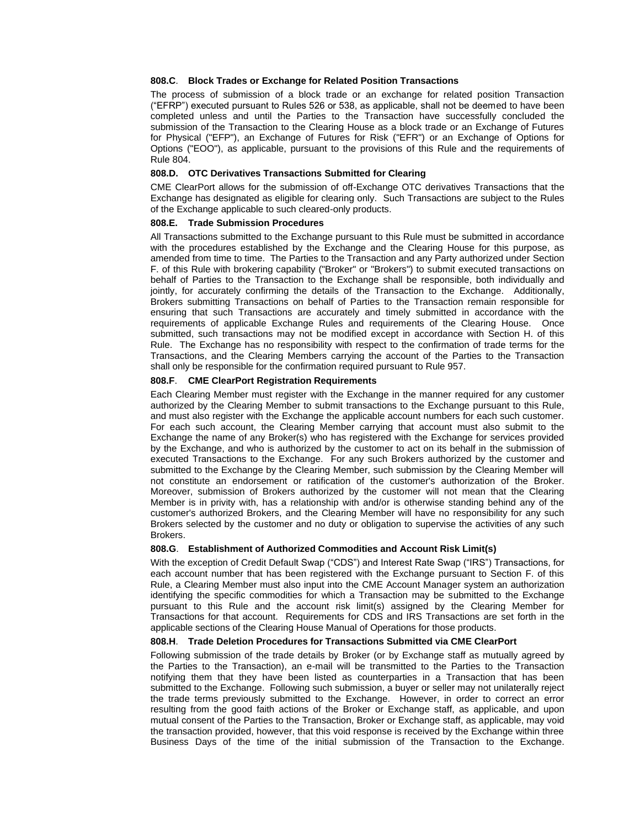#### **808.C**. **Block Trades or Exchange for Related Position Transactions**

The process of submission of a block trade or an exchange for related position Transaction ("EFRP") executed pursuant to Rules 526 or 538, as applicable, shall not be deemed to have been completed unless and until the Parties to the Transaction have successfully concluded the submission of the Transaction to the Clearing House as a block trade or an Exchange of Futures for Physical ("EFP"), an Exchange of Futures for Risk ("EFR") or an Exchange of Options for Options ("EOO"), as applicable, pursuant to the provisions of this Rule and the requirements of Rule 804.

## **808.D. OTC Derivatives Transactions Submitted for Clearing**

CME ClearPort allows for the submission of off-Exchange OTC derivatives Transactions that the Exchange has designated as eligible for clearing only. Such Transactions are subject to the Rules of the Exchange applicable to such cleared-only products.

#### **808.E. Trade Submission Procedures**

All Transactions submitted to the Exchange pursuant to this Rule must be submitted in accordance with the procedures established by the Exchange and the Clearing House for this purpose, as amended from time to time. The Parties to the Transaction and any Party authorized under Section F. of this Rule with brokering capability ("Broker" or "Brokers") to submit executed transactions on behalf of Parties to the Transaction to the Exchange shall be responsible, both individually and jointly, for accurately confirming the details of the Transaction to the Exchange. Additionally, Brokers submitting Transactions on behalf of Parties to the Transaction remain responsible for ensuring that such Transactions are accurately and timely submitted in accordance with the requirements of applicable Exchange Rules and requirements of the Clearing House. Once submitted, such transactions may not be modified except in accordance with Section H. of this Rule. The Exchange has no responsibility with respect to the confirmation of trade terms for the Transactions, and the Clearing Members carrying the account of the Parties to the Transaction shall only be responsible for the confirmation required pursuant to Rule 957.

#### **808.F**. **CME ClearPort Registration Requirements**

Each Clearing Member must register with the Exchange in the manner required for any customer authorized by the Clearing Member to submit transactions to the Exchange pursuant to this Rule, and must also register with the Exchange the applicable account numbers for each such customer. For each such account, the Clearing Member carrying that account must also submit to the Exchange the name of any Broker(s) who has registered with the Exchange for services provided by the Exchange, and who is authorized by the customer to act on its behalf in the submission of executed Transactions to the Exchange. For any such Brokers authorized by the customer and submitted to the Exchange by the Clearing Member, such submission by the Clearing Member will not constitute an endorsement or ratification of the customer's authorization of the Broker. Moreover, submission of Brokers authorized by the customer will not mean that the Clearing Member is in privity with, has a relationship with and/or is otherwise standing behind any of the customer's authorized Brokers, and the Clearing Member will have no responsibility for any such Brokers selected by the customer and no duty or obligation to supervise the activities of any such Brokers.

#### **808.G**. **Establishment of Authorized Commodities and Account Risk Limit(s)**

With the exception of Credit Default Swap ("CDS") and Interest Rate Swap ("IRS") Transactions, for each account number that has been registered with the Exchange pursuant to Section F. of this Rule, a Clearing Member must also input into the CME Account Manager system an authorization identifying the specific commodities for which a Transaction may be submitted to the Exchange pursuant to this Rule and the account risk limit(s) assigned by the Clearing Member for Transactions for that account. Requirements for CDS and IRS Transactions are set forth in the applicable sections of the Clearing House Manual of Operations for those products.

#### **808.H**. **Trade Deletion Procedures for Transactions Submitted via CME ClearPort**

Following submission of the trade details by Broker (or by Exchange staff as mutually agreed by the Parties to the Transaction), an e-mail will be transmitted to the Parties to the Transaction notifying them that they have been listed as counterparties in a Transaction that has been submitted to the Exchange. Following such submission, a buyer or seller may not unilaterally reject the trade terms previously submitted to the Exchange. However, in order to correct an error resulting from the good faith actions of the Broker or Exchange staff, as applicable, and upon mutual consent of the Parties to the Transaction, Broker or Exchange staff, as applicable, may void the transaction provided, however, that this void response is received by the Exchange within three Business Days of the time of the initial submission of the Transaction to the Exchange.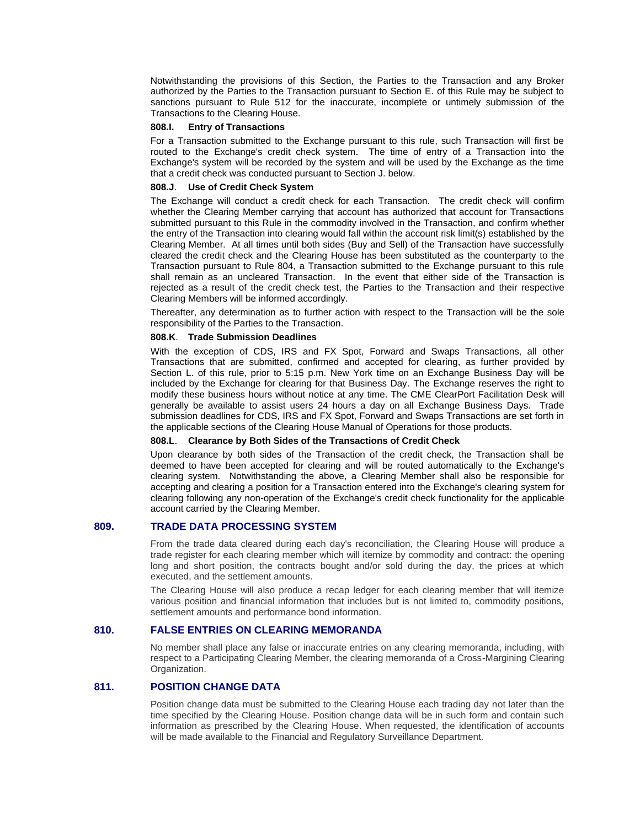Notwithstanding the provisions of this Section, the Parties to the Transaction and any Broker authorized by the Parties to the Transaction pursuant to Section E. of this Rule may be subject to sanctions pursuant to Rule 512 for the inaccurate, incomplete or untimely submission of the Transactions to the Clearing House.

#### **808.I. Entry of Transactions**

For a Transaction submitted to the Exchange pursuant to this rule, such Transaction will first be routed to the Exchange's credit check system. The time of entry of a Transaction into the Exchange's system will be recorded by the system and will be used by the Exchange as the time that a credit check was conducted pursuant to Section J. below.

#### **808.J**. **Use of Credit Check System**

The Exchange will conduct a credit check for each Transaction. The credit check will confirm whether the Clearing Member carrying that account has authorized that account for Transactions submitted pursuant to this Rule in the commodity involved in the Transaction, and confirm whether the entry of the Transaction into clearing would fall within the account risk limit(s) established by the Clearing Member. At all times until both sides (Buy and Sell) of the Transaction have successfully cleared the credit check and the Clearing House has been substituted as the counterparty to the Transaction pursuant to Rule 804, a Transaction submitted to the Exchange pursuant to this rule shall remain as an uncleared Transaction. In the event that either side of the Transaction is rejected as a result of the credit check test, the Parties to the Transaction and their respective Clearing Members will be informed accordingly.

Thereafter, any determination as to further action with respect to the Transaction will be the sole responsibility of the Parties to the Transaction.

#### **808.K**. **Trade Submission Deadlines**

With the exception of CDS, IRS and FX Spot, Forward and Swaps Transactions, all other Transactions that are submitted, confirmed and accepted for clearing, as further provided by Section L. of this rule, prior to 5:15 p.m. New York time on an Exchange Business Day will be included by the Exchange for clearing for that Business Day. The Exchange reserves the right to modify these business hours without notice at any time. The CME ClearPort Facilitation Desk will generally be available to assist users 24 hours a day on all Exchange Business Days. Trade submission deadlines for CDS, IRS and FX Spot, Forward and Swaps Transactions are set forth in the applicable sections of the Clearing House Manual of Operations for those products.

#### **808.L**. **Clearance by Both Sides of the Transactions of Credit Check**

Upon clearance by both sides of the Transaction of the credit check, the Transaction shall be deemed to have been accepted for clearing and will be routed automatically to the Exchange's clearing system. Notwithstanding the above, a Clearing Member shall also be responsible for accepting and clearing a position for a Transaction entered into the Exchange's clearing system for clearing following any non-operation of the Exchange's credit check functionality for the applicable account carried by the Clearing Member.

## **809. TRADE DATA PROCESSING SYSTEM**

From the trade data cleared during each day's reconciliation, the Clearing House will produce a trade register for each clearing member which will itemize by commodity and contract: the opening long and short position, the contracts bought and/or sold during the day, the prices at which executed, and the settlement amounts.

The Clearing House will also produce a recap ledger for each clearing member that will itemize various position and financial information that includes but is not limited to, commodity positions, settlement amounts and performance bond information.

## **810. FALSE ENTRIES ON CLEARING MEMORANDA**

No member shall place any false or inaccurate entries on any clearing memoranda, including, with respect to a Participating Clearing Member, the clearing memoranda of a Cross-Margining Clearing Organization.

## **811. POSITION CHANGE DATA**

Position change data must be submitted to the Clearing House each trading day not later than the time specified by the Clearing House. Position change data will be in such form and contain such information as prescribed by the Clearing House. When requested, the identification of accounts will be made available to the Financial and Regulatory Surveillance Department.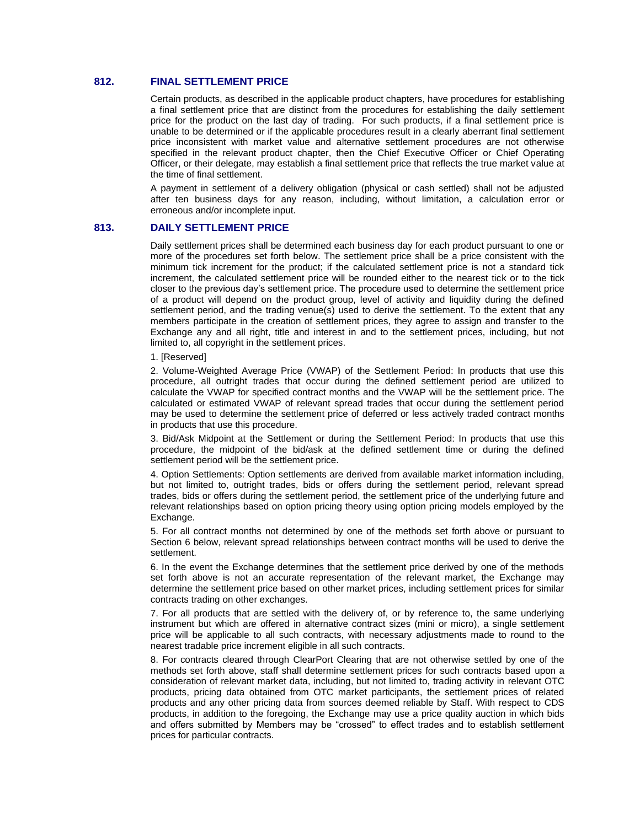## **812. FINAL SETTLEMENT PRICE**

*16B*Certain products, as described in the applicable product chapters, have procedures for establishing a final settlement price that are distinct from the procedures for establishing the daily settlement price for the product on the last day of trading. For such products, if a final settlement price is unable to be determined or if the applicable procedures result in a clearly aberrant final settlement price inconsistent with market value and alternative settlement procedures are not otherwise specified in the relevant product chapter, then the Chief Executive Officer or Chief Operating Officer, or their delegate, may establish a final settlement price that reflects the true market value at the time of final settlement.

A payment in settlement of a delivery obligation (physical or cash settled) shall not be adjusted after ten business days for any reason, including, without limitation, a calculation error or erroneous and/or incomplete input.

#### **813. DAILY SETTLEMENT PRICE**

Daily settlement prices shall be determined each business day for each product pursuant to one or more of the procedures set forth below. The settlement price shall be a price consistent with the minimum tick increment for the product; if the calculated settlement price is not a standard tick increment, the calculated settlement price will be rounded either to the nearest tick or to the tick closer to the previous day's settlement price. The procedure used to determine the settlement price of a product will depend on the product group, level of activity and liquidity during the defined settlement period, and the trading venue(s) used to derive the settlement. To the extent that any members participate in the creation of settlement prices, they agree to assign and transfer to the Exchange any and all right, title and interest in and to the settlement prices, including, but not limited to, all copyright in the settlement prices.

1. [Reserved]

2. Volume-Weighted Average Price (VWAP) of the Settlement Period: In products that use this procedure, all outright trades that occur during the defined settlement period are utilized to calculate the VWAP for specified contract months and the VWAP will be the settlement price. The calculated or estimated VWAP of relevant spread trades that occur during the settlement period may be used to determine the settlement price of deferred or less actively traded contract months in products that use this procedure.

3. Bid/Ask Midpoint at the Settlement or during the Settlement Period: In products that use this procedure, the midpoint of the bid/ask at the defined settlement time or during the defined settlement period will be the settlement price.

4. Option Settlements: Option settlements are derived from available market information including, but not limited to, outright trades, bids or offers during the settlement period, relevant spread trades, bids or offers during the settlement period, the settlement price of the underlying future and relevant relationships based on option pricing theory using option pricing models employed by the Exchange.

5. For all contract months not determined by one of the methods set forth above or pursuant to Section 6 below, relevant spread relationships between contract months will be used to derive the settlement.

6. In the event the Exchange determines that the settlement price derived by one of the methods set forth above is not an accurate representation of the relevant market, the Exchange may determine the settlement price based on other market prices, including settlement prices for similar contracts trading on other exchanges.

7. For all products that are settled with the delivery of, or by reference to, the same underlying instrument but which are offered in alternative contract sizes (mini or micro), a single settlement price will be applicable to all such contracts, with necessary adjustments made to round to the nearest tradable price increment eligible in all such contracts.

8. For contracts cleared through ClearPort Clearing that are not otherwise settled by one of the methods set forth above, staff shall determine settlement prices for such contracts based upon a consideration of relevant market data, including, but not limited to, trading activity in relevant OTC products, pricing data obtained from OTC market participants, the settlement prices of related products and any other pricing data from sources deemed reliable by Staff. With respect to CDS products, in addition to the foregoing, the Exchange may use a price quality auction in which bids and offers submitted by Members may be "crossed" to effect trades and to establish settlement prices for particular contracts.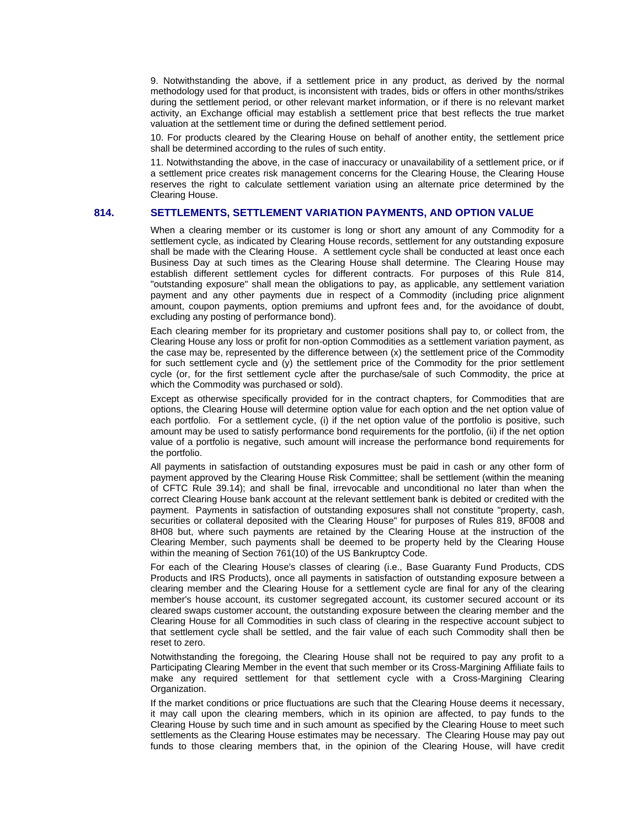9. Notwithstanding the above, if a settlement price in any product, as derived by the normal methodology used for that product, is inconsistent with trades, bids or offers in other months/strikes during the settlement period, or other relevant market information, or if there is no relevant market activity, an Exchange official may establish a settlement price that best reflects the true market valuation at the settlement time or during the defined settlement period.

10. For products cleared by the Clearing House on behalf of another entity, the settlement price shall be determined according to the rules of such entity.

11. Notwithstanding the above, in the case of inaccuracy or unavailability of a settlement price, or if a settlement price creates risk management concerns for the Clearing House, the Clearing House reserves the right to calculate settlement variation using an alternate price determined by the Clearing House.

## **814. SETTLEMENTS, SETTLEMENT VARIATION PAYMENTS, AND OPTION VALUE**

When a clearing member or its customer is long or short any amount of any Commodity for a settlement cycle, as indicated by Clearing House records, settlement for any outstanding exposure shall be made with the Clearing House. A settlement cycle shall be conducted at least once each Business Day at such times as the Clearing House shall determine. The Clearing House may establish different settlement cycles for different contracts. For purposes of this Rule 814, "outstanding exposure" shall mean the obligations to pay, as applicable, any settlement variation payment and any other payments due in respect of a Commodity (including price alignment amount, coupon payments, option premiums and upfront fees and, for the avoidance of doubt, excluding any posting of performance bond).

Each clearing member for its proprietary and customer positions shall pay to, or collect from, the Clearing House any loss or profit for non-option Commodities as a settlement variation payment, as the case may be, represented by the difference between (x) the settlement price of the Commodity for such settlement cycle and (y) the settlement price of the Commodity for the prior settlement cycle (or, for the first settlement cycle after the purchase/sale of such Commodity, the price at which the Commodity was purchased or sold).

Except as otherwise specifically provided for in the contract chapters, for Commodities that are options, the Clearing House will determine option value for each option and the net option value of each portfolio. For a settlement cycle, (i) if the net option value of the portfolio is positive, such amount may be used to satisfy performance bond requirements for the portfolio, (ii) if the net option value of a portfolio is negative, such amount will increase the performance bond requirements for the portfolio.

All payments in satisfaction of outstanding exposures must be paid in cash or any other form of payment approved by the Clearing House Risk Committee; shall be settlement (within the meaning of CFTC Rule 39.14); and shall be final, irrevocable and unconditional no later than when the correct Clearing House bank account at the relevant settlement bank is debited or credited with the payment. Payments in satisfaction of outstanding exposures shall not constitute "property, cash, securities or collateral deposited with the Clearing House" for purposes of Rules 819, 8F008 and 8H08 but, where such payments are retained by the Clearing House at the instruction of the Clearing Member, such payments shall be deemed to be property held by the Clearing House within the meaning of Section 761(10) of the US Bankruptcy Code.

For each of the Clearing House's classes of clearing (i.e., Base Guaranty Fund Products, CDS Products and IRS Products), once all payments in satisfaction of outstanding exposure between a clearing member and the Clearing House for a settlement cycle are final for any of the clearing member's house account, its customer segregated account, its customer secured account or its cleared swaps customer account, the outstanding exposure between the clearing member and the Clearing House for all Commodities in such class of clearing in the respective account subject to that settlement cycle shall be settled, and the fair value of each such Commodity shall then be reset to zero.

Notwithstanding the foregoing, the Clearing House shall not be required to pay any profit to a Participating Clearing Member in the event that such member or its Cross-Margining Affiliate fails to make any required settlement for that settlement cycle with a Cross-Margining Clearing Organization.

If the market conditions or price fluctuations are such that the Clearing House deems it necessary, it may call upon the clearing members, which in its opinion are affected, to pay funds to the Clearing House by such time and in such amount as specified by the Clearing House to meet such settlements as the Clearing House estimates may be necessary. The Clearing House may pay out funds to those clearing members that, in the opinion of the Clearing House, will have credit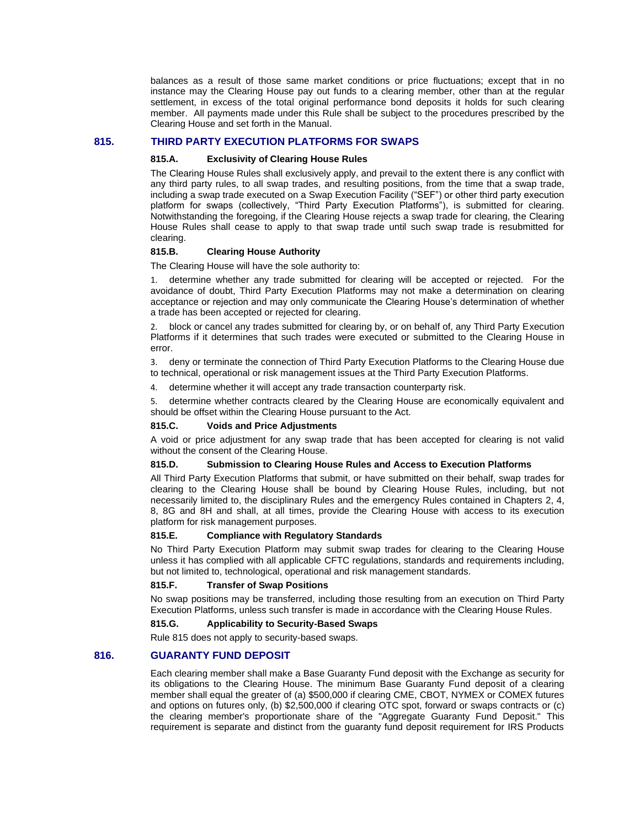balances as a result of those same market conditions or price fluctuations; except that in no instance may the Clearing House pay out funds to a clearing member, other than at the regular settlement, in excess of the total original performance bond deposits it holds for such clearing member. All payments made under this Rule shall be subject to the procedures prescribed by the Clearing House and set forth in the Manual.

# **815.** *<sup>1</sup>***THIRD PARTY EXECUTION PLATFORMS FOR SWAPS**

#### **815.A. Exclusivity of Clearing House Rules**

The Clearing House Rules shall exclusively apply, and prevail to the extent there is any conflict with any third party rules, to all swap trades, and resulting positions, from the time that a swap trade, including a swap trade executed on a Swap Execution Facility ("SEF") or other third party execution platform for swaps (collectively, "Third Party Execution Platforms"), is submitted for clearing. Notwithstanding the foregoing, if the Clearing House rejects a swap trade for clearing, the Clearing House Rules shall cease to apply to that swap trade until such swap trade is resubmitted for clearing.

## **815.B. Clearing House Authority**

The Clearing House will have the sole authority to:

1. determine whether any trade submitted for clearing will be accepted or rejected. For the avoidance of doubt, Third Party Execution Platforms may not make a determination on clearing acceptance or rejection and may only communicate the Clearing House's determination of whether a trade has been accepted or rejected for clearing.

2. block or cancel any trades submitted for clearing by, or on behalf of, any Third Party Execution Platforms if it determines that such trades were executed or submitted to the Clearing House in error.

3. deny or terminate the connection of Third Party Execution Platforms to the Clearing House due to technical, operational or risk management issues at the Third Party Execution Platforms.

4. determine whether it will accept any trade transaction counterparty risk.

5. determine whether contracts cleared by the Clearing House are economically equivalent and should be offset within the Clearing House pursuant to the Act.

## **815.C. Voids and Price Adjustments**

A void or price adjustment for any swap trade that has been accepted for clearing is not valid without the consent of the Clearing House.

#### **815.D. Submission to Clearing House Rules and Access to Execution Platforms**

All Third Party Execution Platforms that submit, or have submitted on their behalf, swap trades for clearing to the Clearing House shall be bound by Clearing House Rules, including, but not necessarily limited to, the disciplinary Rules and the emergency Rules contained in Chapters 2, 4, 8, 8G and 8H and shall, at all times, provide the Clearing House with access to its execution platform for risk management purposes.

## **815.E. Compliance with Regulatory Standards**

No Third Party Execution Platform may submit swap trades for clearing to the Clearing House unless it has complied with all applicable CFTC regulations, standards and requirements including, but not limited to, technological, operational and risk management standards.

## **815.F. Transfer of Swap Positions**

No swap positions may be transferred, including those resulting from an execution on Third Party Execution Platforms, unless such transfer is made in accordance with the Clearing House Rules.

#### **815.G. Applicability to Security-Based Swaps**

Rule 815 does not apply to security-based swaps.

## **816. GUARANTY FUND DEPOSIT**

Each clearing member shall make a Base Guaranty Fund deposit with the Exchange as security for its obligations to the Clearing House. The minimum Base Guaranty Fund deposit of a clearing member shall equal the greater of (a) \$500,000 if clearing CME, CBOT, NYMEX or COMEX futures and options on futures only, (b) \$2,500,000 if clearing OTC spot, forward or swaps contracts or (c) the clearing member's proportionate share of the "Aggregate Guaranty Fund Deposit." This requirement is separate and distinct from the guaranty fund deposit requirement for IRS Products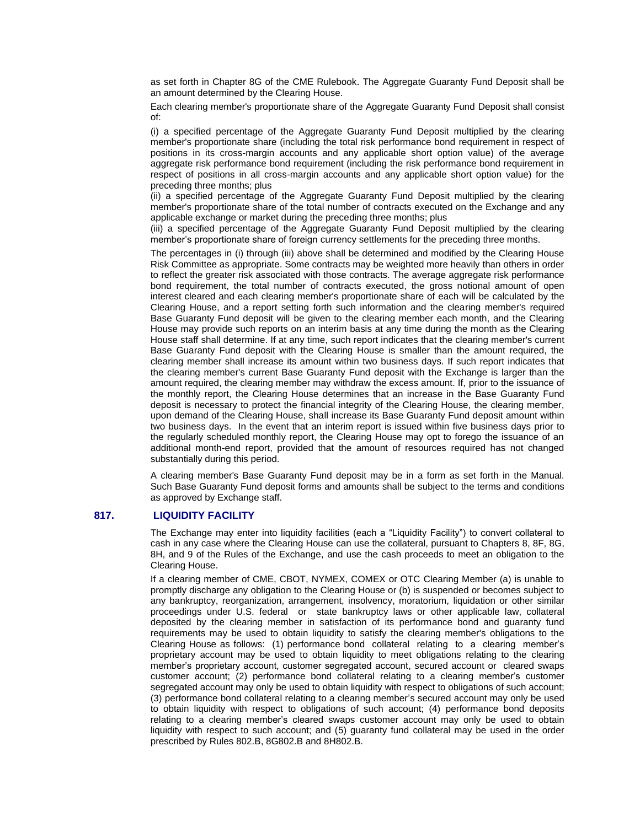as set forth in Chapter 8G of the CME Rulebook. The Aggregate Guaranty Fund Deposit shall be an amount determined by the Clearing House.

Each clearing member's proportionate share of the Aggregate Guaranty Fund Deposit shall consist of:

(i) a specified percentage of the Aggregate Guaranty Fund Deposit multiplied by the clearing member's proportionate share (including the total risk performance bond requirement in respect of positions in its cross-margin accounts and any applicable short option value) of the average aggregate risk performance bond requirement (including the risk performance bond requirement in respect of positions in all cross-margin accounts and any applicable short option value) for the preceding three months; plus

(ii) a specified percentage of the Aggregate Guaranty Fund Deposit multiplied by the clearing member's proportionate share of the total number of contracts executed on the Exchange and any applicable exchange or market during the preceding three months; plus

(iii) a specified percentage of the Aggregate Guaranty Fund Deposit multiplied by the clearing member's proportionate share of foreign currency settlements for the preceding three months.

The percentages in (i) through (iii) above shall be determined and modified by the Clearing House Risk Committee as appropriate. Some contracts may be weighted more heavily than others in order to reflect the greater risk associated with those contracts. The average aggregate risk performance bond requirement, the total number of contracts executed, the gross notional amount of open interest cleared and each clearing member's proportionate share of each will be calculated by the Clearing House, and a report setting forth such information and the clearing member's required Base Guaranty Fund deposit will be given to the clearing member each month, and the Clearing House may provide such reports on an interim basis at any time during the month as the Clearing House staff shall determine. If at any time, such report indicates that the clearing member's current Base Guaranty Fund deposit with the Clearing House is smaller than the amount required, the clearing member shall increase its amount within two business days. If such report indicates that the clearing member's current Base Guaranty Fund deposit with the Exchange is larger than the amount required, the clearing member may withdraw the excess amount. If, prior to the issuance of the monthly report, the Clearing House determines that an increase in the Base Guaranty Fund deposit is necessary to protect the financial integrity of the Clearing House, the clearing member, upon demand of the Clearing House, shall increase its Base Guaranty Fund deposit amount within two business days. In the event that an interim report is issued within five business days prior to the regularly scheduled monthly report, the Clearing House may opt to forego the issuance of an additional month-end report, provided that the amount of resources required has not changed substantially during this period.

A clearing member's Base Guaranty Fund deposit may be in a form as set forth in the Manual. Such Base Guaranty Fund deposit forms and amounts shall be subject to the terms and conditions as approved by Exchange staff.

#### **817. LIQUIDITY FACILITY**

The Exchange may enter into liquidity facilities (each a "Liquidity Facility") to convert collateral to cash in any case where the Clearing House can use the collateral, pursuant to Chapters 8, 8F, 8G, 8H, and 9 of the Rules of the Exchange, and use the cash proceeds to meet an obligation to the Clearing House.

If a clearing member of CME, CBOT, NYMEX, COMEX or OTC Clearing Member (a) is unable to promptly discharge any obligation to the Clearing House or (b) is suspended or becomes subject to any bankruptcy, reorganization, arrangement, insolvency, moratorium, liquidation or other similar proceedings under U.S. federal or state bankruptcy laws or other applicable law, collateral deposited by the clearing member in satisfaction of its performance bond and guaranty fund requirements may be used to obtain liquidity to satisfy the clearing member's obligations to the Clearing House as follows: (1) performance bond collateral relating to a clearing member's proprietary account may be used to obtain liquidity to meet obligations relating to the clearing member's proprietary account, customer segregated account, secured account or cleared swaps customer account; (2) performance bond collateral relating to a clearing member's customer segregated account may only be used to obtain liquidity with respect to obligations of such account; (3) performance bond collateral relating to a clearing member's secured account may only be used to obtain liquidity with respect to obligations of such account; (4) performance bond deposits relating to a clearing member's cleared swaps customer account may only be used to obtain liquidity with respect to such account; and (5) guaranty fund collateral may be used in the order prescribed by Rules 802.B, 8G802.B and 8H802.B.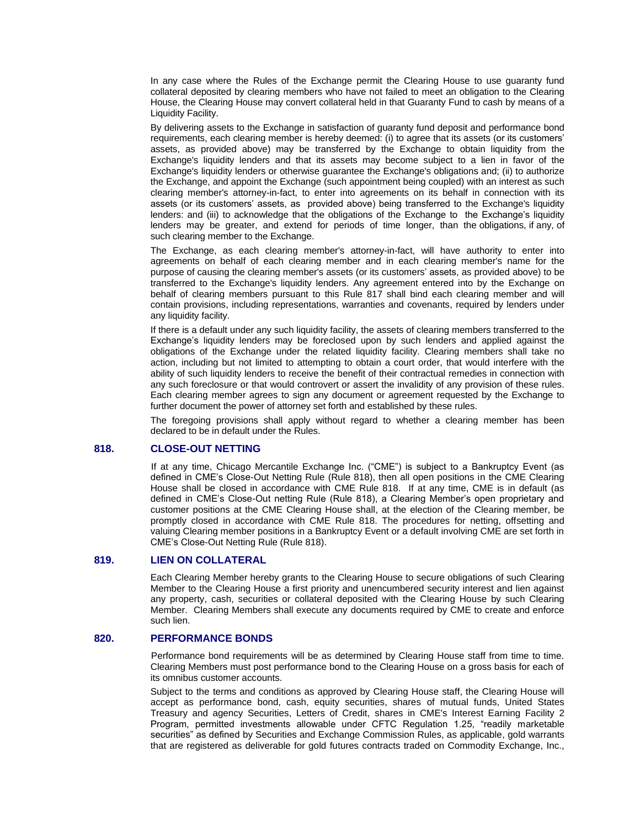In any case where the Rules of the Exchange permit the Clearing House to use guaranty fund collateral deposited by clearing members who have not failed to meet an obligation to the Clearing House, the Clearing House may convert collateral held in that Guaranty Fund to cash by means of a Liquidity Facility.

By delivering assets to the Exchange in satisfaction of guaranty fund deposit and performance bond requirements, each clearing member is hereby deemed: (i) to agree that its assets (or its customers' assets, as provided above) may be transferred by the Exchange to obtain liquidity from the Exchange's liquidity lenders and that its assets may become subject to a lien in favor of the Exchange's liquidity lenders or otherwise guarantee the Exchange's obligations and; (ii) to authorize the Exchange, and appoint the Exchange (such appointment being coupled) with an interest as such clearing member's attorney-in-fact, to enter into agreements on its behalf in connection with its assets (or its customers' assets, as provided above) being transferred to the Exchange's liquidity lenders: and (iii) to acknowledge that the obligations of the Exchange to the Exchange's liquidity lenders may be greater, and extend for periods of time longer, than the obligations, if any, of such clearing member to the Exchange.

The Exchange, as each clearing member's attorney-in-fact, will have authority to enter into agreements on behalf of each clearing member and in each clearing member's name for the purpose of causing the clearing member's assets (or its customers' assets, as provided above) to be transferred to the Exchange's liquidity lenders. Any agreement entered into by the Exchange on behalf of clearing members pursuant to this Rule 817 shall bind each clearing member and will contain provisions, including representations, warranties and covenants, required by lenders under any liquidity facility.

If there is a default under any such liquidity facility, the assets of clearing members transferred to the Exchange's liquidity lenders may be foreclosed upon by such lenders and applied against the obligations of the Exchange under the related liquidity facility. Clearing members shall take no action, including but not limited to attempting to obtain a court order, that would interfere with the ability of such liquidity lenders to receive the benefit of their contractual remedies in connection with any such foreclosure or that would controvert or assert the invalidity of any provision of these rules. Each clearing member agrees to sign any document or agreement requested by the Exchange to further document the power of attorney set forth and established by these rules.

The foregoing provisions shall apply without regard to whether a clearing member has been declared to be in default under the Rules.

## **818. CLOSE-OUT NETTING**

If at any time, Chicago Mercantile Exchange Inc. ("CME") is subject to a Bankruptcy Event (as defined in CME's Close-Out Netting Rule (Rule 818), then all open positions in the CME Clearing House shall be closed in accordance with CME Rule 818. If at any time, CME is in default (as defined in CME's Close-Out netting Rule (Rule 818), a Clearing Member's open proprietary and customer positions at the CME Clearing House shall, at the election of the Clearing member, be promptly closed in accordance with CME Rule 818. The procedures for netting, offsetting and valuing Clearing member positions in a Bankruptcy Event or a default involving CME are set forth in CME's Close-Out Netting Rule (Rule 818).

## **819. LIEN ON COLLATERAL**

Each Clearing Member hereby grants to the Clearing House to secure obligations of such Clearing Member to the Clearing House a first priority and unencumbered security interest and lien against any property, cash, securities or collateral deposited with the Clearing House by such Clearing Member. Clearing Members shall execute any documents required by CME to create and enforce such lien.

## **820. PERFORMANCE BONDS**

Performance bond requirements will be as determined by Clearing House staff from time to time. Clearing Members must post performance bond to the Clearing House on a gross basis for each of its omnibus customer accounts.

Subject to the terms and conditions as approved by Clearing House staff, the Clearing House will accept as performance bond, cash, equity securities, shares of mutual funds, United States Treasury and agency Securities, Letters of Credit, shares in CME's Interest Earning Facility 2 Program, permitted investments allowable under CFTC Regulation 1.25, "readily marketable securities" as defined by Securities and Exchange Commission Rules, as applicable, gold warrants that are registered as deliverable for gold futures contracts traded on Commodity Exchange, Inc.,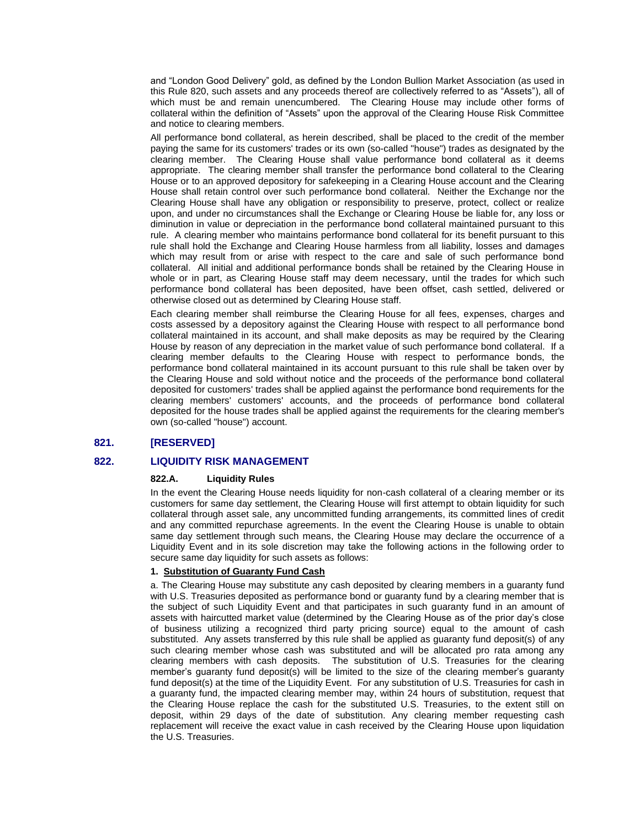and "London Good Delivery" gold, as defined by the London Bullion Market Association (as used in this Rule 820, such assets and any proceeds thereof are collectively referred to as "Assets"), all of which must be and remain unencumbered. The Clearing House may include other forms of collateral within the definition of "Assets" upon the approval of the Clearing House Risk Committee and notice to clearing members.

All performance bond collateral, as herein described, shall be placed to the credit of the member paying the same for its customers' trades or its own (so-called "house") trades as designated by the clearing member. The Clearing House shall value performance bond collateral as it deems appropriate. The clearing member shall transfer the performance bond collateral to the Clearing House or to an approved depository for safekeeping in a Clearing House account and the Clearing House shall retain control over such performance bond collateral. Neither the Exchange nor the Clearing House shall have any obligation or responsibility to preserve, protect, collect or realize upon, and under no circumstances shall the Exchange or Clearing House be liable for, any loss or diminution in value or depreciation in the performance bond collateral maintained pursuant to this rule. A clearing member who maintains performance bond collateral for its benefit pursuant to this rule shall hold the Exchange and Clearing House harmless from all liability, losses and damages which may result from or arise with respect to the care and sale of such performance bond collateral. All initial and additional performance bonds shall be retained by the Clearing House in whole or in part, as Clearing House staff may deem necessary, until the trades for which such performance bond collateral has been deposited, have been offset, cash settled, delivered or otherwise closed out as determined by Clearing House staff.

Each clearing member shall reimburse the Clearing House for all fees, expenses, charges and costs assessed by a depository against the Clearing House with respect to all performance bond collateral maintained in its account, and shall make deposits as may be required by the Clearing House by reason of any depreciation in the market value of such performance bond collateral. If a clearing member defaults to the Clearing House with respect to performance bonds, the performance bond collateral maintained in its account pursuant to this rule shall be taken over by the Clearing House and sold without notice and the proceeds of the performance bond collateral deposited for customers' trades shall be applied against the performance bond requirements for the clearing members' customers' accounts, and the proceeds of performance bond collateral deposited for the house trades shall be applied against the requirements for the clearing member's own (so-called "house") account.

# **821. [RESERVED]**

## **822. LIQUIDITY RISK MANAGEMENT**

#### **822.A. Liquidity Rules**

In the event the Clearing House needs liquidity for non-cash collateral of a clearing member or its customers for same day settlement, the Clearing House will first attempt to obtain liquidity for such collateral through asset sale, any uncommitted funding arrangements, its committed lines of credit and any committed repurchase agreements. In the event the Clearing House is unable to obtain same day settlement through such means, the Clearing House may declare the occurrence of a Liquidity Event and in its sole discretion may take the following actions in the following order to secure same day liquidity for such assets as follows:

## **1. Substitution of Guaranty Fund Cash**

a. The Clearing House may substitute any cash deposited by clearing members in a guaranty fund with U.S. Treasuries deposited as performance bond or guaranty fund by a clearing member that is the subject of such Liquidity Event and that participates in such guaranty fund in an amount of assets with haircutted market value (determined by the Clearing House as of the prior day's close of business utilizing a recognized third party pricing source) equal to the amount of cash substituted. Any assets transferred by this rule shall be applied as guaranty fund deposit(s) of any such clearing member whose cash was substituted and will be allocated pro rata among any clearing members with cash deposits. The substitution of U.S. Treasuries for the clearing member's guaranty fund deposit(s) will be limited to the size of the clearing member's guaranty fund deposit(s) at the time of the Liquidity Event. For any substitution of U.S. Treasuries for cash in a guaranty fund, the impacted clearing member may, within 24 hours of substitution, request that the Clearing House replace the cash for the substituted U.S. Treasuries, to the extent still on deposit, within 29 days of the date of substitution. Any clearing member requesting cash replacement will receive the exact value in cash received by the Clearing House upon liquidation the U.S. Treasuries.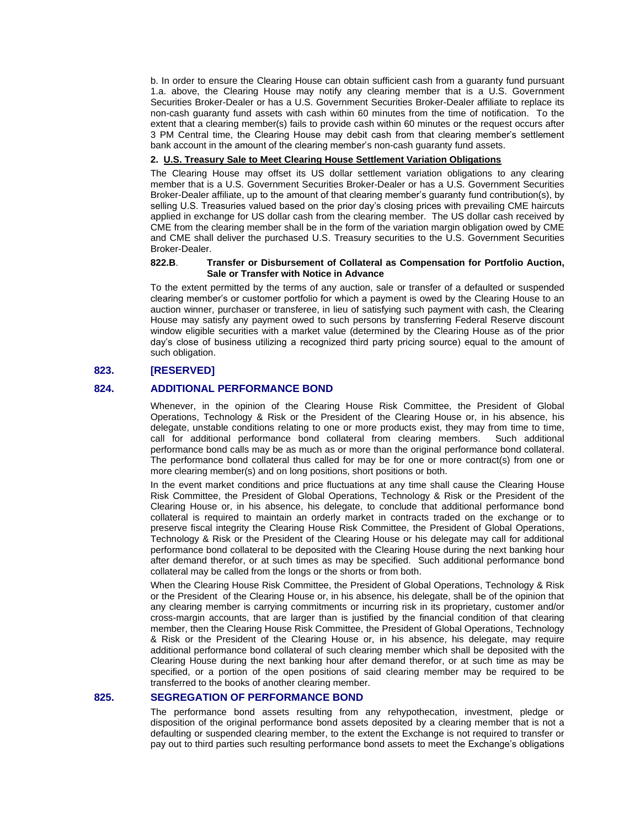b. In order to ensure the Clearing House can obtain sufficient cash from a guaranty fund pursuant 1.a. above, the Clearing House may notify any clearing member that is a U.S. Government Securities Broker-Dealer or has a U.S. Government Securities Broker-Dealer affiliate to replace its non-cash guaranty fund assets with cash within 60 minutes from the time of notification. To the extent that a clearing member(s) fails to provide cash within 60 minutes or the request occurs after 3 PM Central time, the Clearing House may debit cash from that clearing member's settlement bank account in the amount of the clearing member's non-cash guaranty fund assets.

#### **2. U.S. Treasury Sale to Meet Clearing House Settlement Variation Obligations**

The Clearing House may offset its US dollar settlement variation obligations to any clearing member that is a U.S. Government Securities Broker-Dealer or has a U.S. Government Securities Broker-Dealer affiliate, up to the amount of that clearing member's guaranty fund contribution(s), by selling U.S. Treasuries valued based on the prior day's closing prices with prevailing CME haircuts applied in exchange for US dollar cash from the clearing member. The US dollar cash received by CME from the clearing member shall be in the form of the variation margin obligation owed by CME and CME shall deliver the purchased U.S. Treasury securities to the U.S. Government Securities Broker-Dealer.

#### **822.B**. **Transfer or Disbursement of Collateral as Compensation for Portfolio Auction, Sale or Transfer with Notice in Advance**

To the extent permitted by the terms of any auction, sale or transfer of a defaulted or suspended clearing member's or customer portfolio for which a payment is owed by the Clearing House to an auction winner, purchaser or transferee, in lieu of satisfying such payment with cash, the Clearing House may satisfy any payment owed to such persons by transferring Federal Reserve discount window eligible securities with a market value (determined by the Clearing House as of the prior day's close of business utilizing a recognized third party pricing source) equal to the amount of such obligation.

# **823. [RESERVED]**

## **824. ADDITIONAL PERFORMANCE BOND**

Whenever, in the opinion of the Clearing House Risk Committee, the President of Global Operations, Technology & Risk or the President of the Clearing House or, in his absence, his delegate, unstable conditions relating to one or more products exist, they may from time to time, call for additional performance bond collateral from clearing members. Such additional performance bond calls may be as much as or more than the original performance bond collateral. The performance bond collateral thus called for may be for one or more contract(s) from one or more clearing member(s) and on long positions, short positions or both.

In the event market conditions and price fluctuations at any time shall cause the Clearing House Risk Committee, the President of Global Operations, Technology & Risk or the President of the Clearing House or, in his absence, his delegate, to conclude that additional performance bond collateral is required to maintain an orderly market in contracts traded on the exchange or to preserve fiscal integrity the Clearing House Risk Committee, the President of Global Operations, Technology & Risk or the President of the Clearing House or his delegate may call for additional performance bond collateral to be deposited with the Clearing House during the next banking hour after demand therefor, or at such times as may be specified. Such additional performance bond collateral may be called from the longs or the shorts or from both.

When the Clearing House Risk Committee, the President of Global Operations, Technology & Risk or the President of the Clearing House or, in his absence, his delegate, shall be of the opinion that any clearing member is carrying commitments or incurring risk in its proprietary, customer and/or cross-margin accounts, that are larger than is justified by the financial condition of that clearing member, then the Clearing House Risk Committee, the President of Global Operations, Technology & Risk or the President of the Clearing House or, in his absence, his delegate, may require additional performance bond collateral of such clearing member which shall be deposited with the Clearing House during the next banking hour after demand therefor, or at such time as may be specified, or a portion of the open positions of said clearing member may be required to be transferred to the books of another clearing member.

## **825. SEGREGATION OF PERFORMANCE BOND**

The performance bond assets resulting from any rehypothecation, investment, pledge or disposition of the original performance bond assets deposited by a clearing member that is not a defaulting or suspended clearing member, to the extent the Exchange is not required to transfer or pay out to third parties such resulting performance bond assets to meet the Exchange's obligations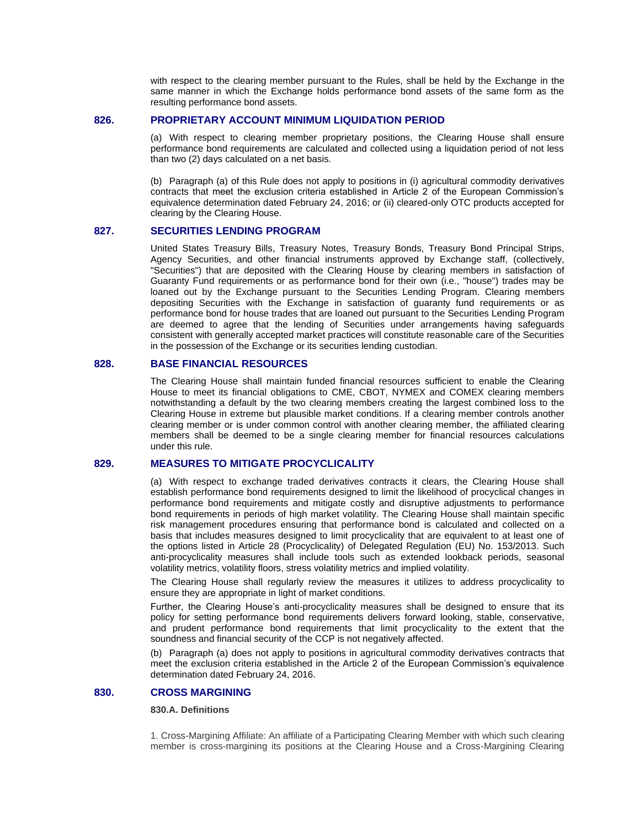with respect to the clearing member pursuant to the Rules, shall be held by the Exchange in the same manner in which the Exchange holds performance bond assets of the same form as the resulting performance bond assets.

# **826. PROPRIETARY ACCOUNT MINIMUM LIQUIDATION PERIOD**

(a) With respect to clearing member proprietary positions, the Clearing House shall ensure performance bond requirements are calculated and collected using a liquidation period of not less than two (2) days calculated on a net basis.

(b) Paragraph (a) of this Rule does not apply to positions in (i) agricultural commodity derivatives contracts that meet the exclusion criteria established in Article 2 of the European Commission's equivalence determination dated February 24, 2016; or (ii) cleared-only OTC products accepted for clearing by the Clearing House.

#### **827. SECURITIES LENDING PROGRAM**

United States Treasury Bills, Treasury Notes, Treasury Bonds, Treasury Bond Principal Strips, Agency Securities, and other financial instruments approved by Exchange staff, (collectively, "Securities") that are deposited with the Clearing House by clearing members in satisfaction of Guaranty Fund requirements or as performance bond for their own (i.e., "house") trades may be loaned out by the Exchange pursuant to the Securities Lending Program. Clearing members depositing Securities with the Exchange in satisfaction of guaranty fund requirements or as performance bond for house trades that are loaned out pursuant to the Securities Lending Program are deemed to agree that the lending of Securities under arrangements having safeguards consistent with generally accepted market practices will constitute reasonable care of the Securities in the possession of the Exchange or its securities lending custodian.

## **828. BASE FINANCIAL RESOURCES**

The Clearing House shall maintain funded financial resources sufficient to enable the Clearing House to meet its financial obligations to CME, CBOT, NYMEX and COMEX clearing members notwithstanding a default by the two clearing members creating the largest combined loss to the Clearing House in extreme but plausible market conditions. If a clearing member controls another clearing member or is under common control with another clearing member, the affiliated clearing members shall be deemed to be a single clearing member for financial resources calculations under this rule.

## **829. MEASURES TO MITIGATE PROCYCLICALITY**

(a) With respect to exchange traded derivatives contracts it clears, the Clearing House shall establish performance bond requirements designed to limit the likelihood of procyclical changes in performance bond requirements and mitigate costly and disruptive adjustments to performance bond requirements in periods of high market volatility. The Clearing House shall maintain specific risk management procedures ensuring that performance bond is calculated and collected on a basis that includes measures designed to limit procyclicality that are equivalent to at least one of the options listed in Article 28 (Procyclicality) of Delegated Regulation (EU) No. 153/2013. Such anti-procyclicality measures shall include tools such as extended lookback periods, seasonal volatility metrics, volatility floors, stress volatility metrics and implied volatility.

The Clearing House shall regularly review the measures it utilizes to address procyclicality to ensure they are appropriate in light of market conditions.

Further, the Clearing House's anti-procyclicality measures shall be designed to ensure that its policy for setting performance bond requirements delivers forward looking, stable, conservative, and prudent performance bond requirements that limit procyclicality to the extent that the soundness and financial security of the CCP is not negatively affected.

(b) Paragraph (a) does not apply to positions in agricultural commodity derivatives contracts that meet the exclusion criteria established in the Article 2 of the European Commission's equivalence determination dated February 24, 2016.

## **830. CROSS MARGINING**

#### **830.A. Definitions**

1. Cross-Margining Affiliate: An affiliate of a Participating Clearing Member with which such clearing member is cross-margining its positions at the Clearing House and a Cross-Margining Clearing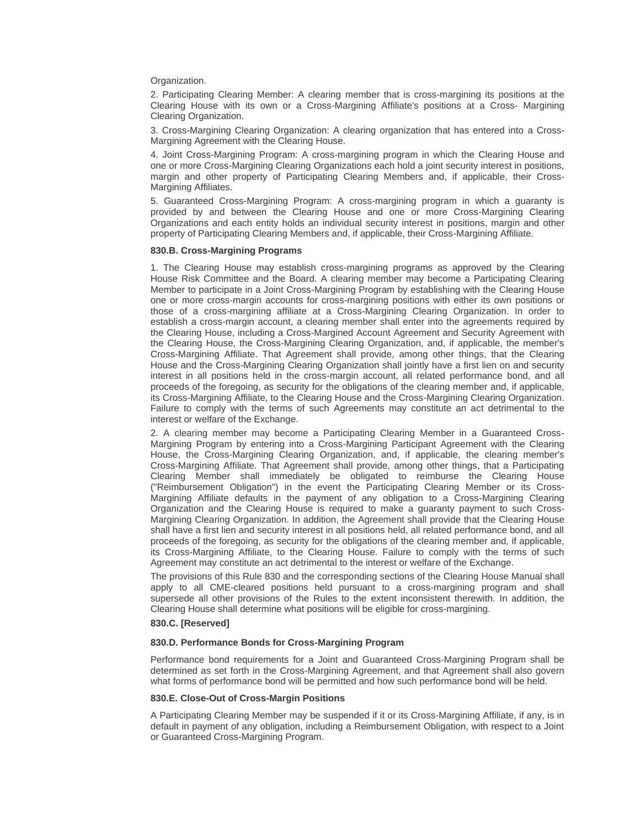Organization.

2. Participating Clearing Member: A clearing member that is cross-margining its positions at the Clearing House with its own or a Cross-Margining Affiliate's positions at a Cross- Margining Clearing Organization.

3. Cross-Margining Clearing Organization: A clearing organization that has entered into a Cross-Margining Agreement with the Clearing House.

4. Joint Cross-Margining Program: A cross-margining program in which the Clearing House and one or more Cross-Margining Clearing Organizations each hold a joint security interest in positions, margin and other property of Participating Clearing Members and, if applicable, their Cross-Margining Affiliates.

5. Guaranteed Cross-Margining Program: A cross-margining program in which a guaranty is provided by and between the Clearing House and one or more Cross-Margining Clearing Organizations and each entity holds an individual security interest in positions, margin and other property of Participating Clearing Members and, if applicable, their Cross-Margining Affiliate.

#### **830.B. Cross-Margining Programs**

1. The Clearing House may establish cross-margining programs as approved by the Clearing House Risk Committee and the Board. A clearing member may become a Participating Clearing Member to participate in a Joint Cross-Margining Program by establishing with the Clearing House one or more cross-margin accounts for cross-margining positions with either its own positions or those of a cross-margining affiliate at a Cross-Margining Clearing Organization. In order to establish a cross-margin account, a clearing member shall enter into the agreements required by the Clearing House, including a Cross-Margined Account Agreement and Security Agreement with the Clearing House, the Cross-Margining Clearing Organization, and, if applicable, the member's Cross-Margining Affiliate. That Agreement shall provide, among other things, that the Clearing House and the Cross-Margining Clearing Organization shall jointly have a first lien on and security interest in all positions held in the cross-margin account, all related performance bond, and all proceeds of the foregoing, as security for the obligations of the clearing member and, if applicable, its Cross-Margining Affiliate, to the Clearing House and the Cross-Margining Clearing Organization. Failure to comply with the terms of such Agreements may constitute an act detrimental to the interest or welfare of the Exchange.

2. A clearing member may become a Participating Clearing Member in a Guaranteed Cross-Margining Program by entering into a Cross-Margining Participant Agreement with the Clearing House, the Cross-Margining Clearing Organization, and, if applicable, the clearing member's Cross-Margining Affiliate. That Agreement shall provide, among other things, that a Participating Clearing Member shall immediately be obligated to reimburse the Clearing House ("Reimbursement Obligation") in the event the Participating Clearing Member or its Cross-Margining Affiliate defaults in the payment of any obligation to a Cross-Margining Clearing Organization and the Clearing House is required to make a guaranty payment to such Cross-Margining Clearing Organization. In addition, the Agreement shall provide that the Clearing House shall have a first lien and security interest in all positions held, all related performance bond, and all proceeds of the foregoing, as security for the obligations of the clearing member and, if applicable, its Cross-Margining Affiliate, to the Clearing House. Failure to comply with the terms of such Agreement may constitute an act detrimental to the interest or welfare of the Exchange.

The provisions of this Rule 830 and the corresponding sections of the Clearing House Manual shall apply to all CME-cleared positions held pursuant to a cross-margining program and shall supersede all other provisions of the Rules to the extent inconsistent therewith. In addition, the Clearing House shall determine what positions will be eligible for cross-margining.

#### **830.C. [Reserved]**

#### **830.D. Performance Bonds for Cross-Margining Program**

Performance bond requirements for a Joint and Guaranteed Cross-Margining Program shall be determined as set forth in the Cross-Margining Agreement, and that Agreement shall also govern what forms of performance bond will be permitted and how such performance bond will be held.

#### **830.E. Close-Out of Cross-Margin Positions**

A Participating Clearing Member may be suspended if it or its Cross-Margining Affiliate, if any, is in default in payment of any obligation, including a Reimbursement Obligation, with respect to a Joint or Guaranteed Cross-Margining Program.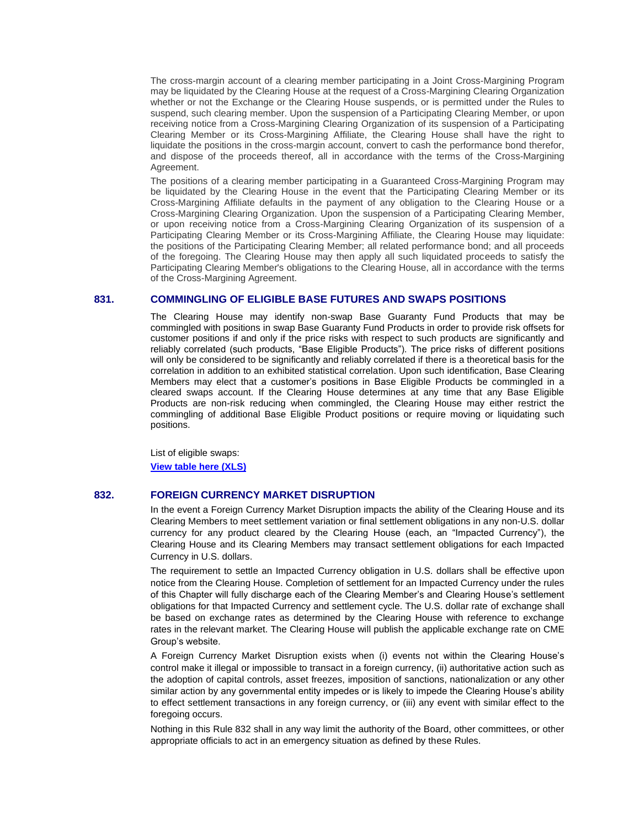The cross-margin account of a clearing member participating in a Joint Cross-Margining Program may be liquidated by the Clearing House at the request of a Cross-Margining Clearing Organization whether or not the Exchange or the Clearing House suspends, or is permitted under the Rules to suspend, such clearing member. Upon the suspension of a Participating Clearing Member, or upon receiving notice from a Cross-Margining Clearing Organization of its suspension of a Participating Clearing Member or its Cross-Margining Affiliate, the Clearing House shall have the right to liquidate the positions in the cross-margin account, convert to cash the performance bond therefor, and dispose of the proceeds thereof, all in accordance with the terms of the Cross-Margining Agreement.

The positions of a clearing member participating in a Guaranteed Cross-Margining Program may be liquidated by the Clearing House in the event that the Participating Clearing Member or its Cross-Margining Affiliate defaults in the payment of any obligation to the Clearing House or a Cross-Margining Clearing Organization. Upon the suspension of a Participating Clearing Member, or upon receiving notice from a Cross-Margining Clearing Organization of its suspension of a Participating Clearing Member or its Cross-Margining Affiliate, the Clearing House may liquidate: the positions of the Participating Clearing Member; all related performance bond; and all proceeds of the foregoing. The Clearing House may then apply all such liquidated proceeds to satisfy the Participating Clearing Member's obligations to the Clearing House, all in accordance with the terms of the Cross-Margining Agreement.

## **831. COMMINGLING OF ELIGIBLE BASE FUTURES AND SWAPS POSITIONS**

The Clearing House may identify non-swap Base Guaranty Fund Products that may be commingled with positions in swap Base Guaranty Fund Products in order to provide risk offsets for customer positions if and only if the price risks with respect to such products are significantly and reliably correlated (such products, "Base Eligible Products"). The price risks of different positions will only be considered to be significantly and reliably correlated if there is a theoretical basis for the correlation in addition to an exhibited statistical correlation. Upon such identification, Base Clearing Members may elect that a customer's positions in Base Eligible Products be commingled in a cleared swaps account. If the Clearing House determines at any time that any Base Eligible Products are non-risk reducing when commingled, the Clearing House may either restrict the commingling of additional Base Eligible Product positions or require moving or liquidating such positions.

List of eligible swaps: **[View table here \(XLS\)](http://www.cmegroup.com/rulebook/files/rule-831.xlsx)**

## **832. FOREIGN CURRENCY MARKET DISRUPTION**

In the event a Foreign Currency Market Disruption impacts the ability of the Clearing House and its Clearing Members to meet settlement variation or final settlement obligations in any non-U.S. dollar currency for any product cleared by the Clearing House (each, an "Impacted Currency"), the Clearing House and its Clearing Members may transact settlement obligations for each Impacted Currency in U.S. dollars.

The requirement to settle an Impacted Currency obligation in U.S. dollars shall be effective upon notice from the Clearing House. Completion of settlement for an Impacted Currency under the rules of this Chapter will fully discharge each of the Clearing Member's and Clearing House's settlement obligations for that Impacted Currency and settlement cycle. The U.S. dollar rate of exchange shall be based on exchange rates as determined by the Clearing House with reference to exchange rates in the relevant market. The Clearing House will publish the applicable exchange rate on CME Group's website.

A Foreign Currency Market Disruption exists when (i) events not within the Clearing House's control make it illegal or impossible to transact in a foreign currency, (ii) authoritative action such as the adoption of capital controls, asset freezes, imposition of sanctions, nationalization or any other similar action by any governmental entity impedes or is likely to impede the Clearing House's ability to effect settlement transactions in any foreign currency, or (iii) any event with similar effect to the foregoing occurs.

Nothing in this Rule 832 shall in any way limit the authority of the Board, other committees, or other appropriate officials to act in an emergency situation as defined by these Rules.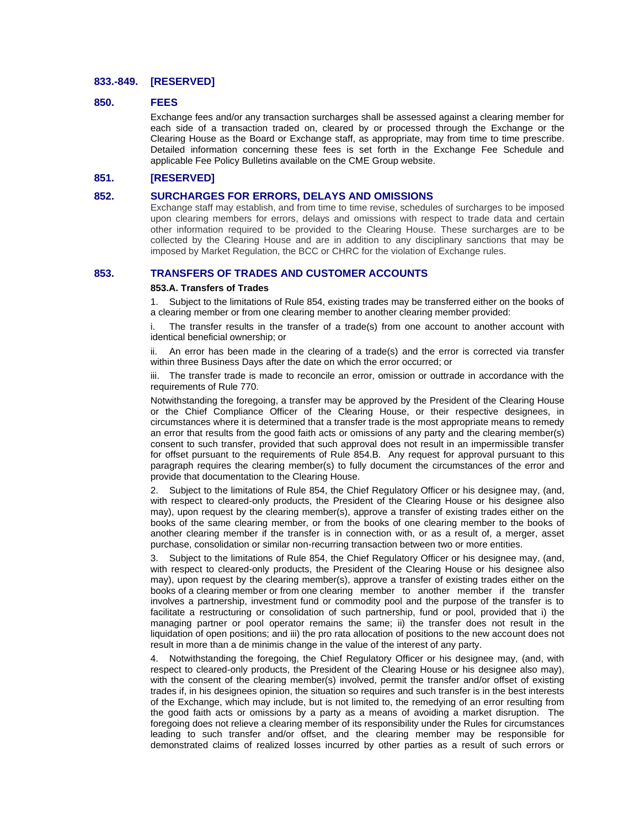## **833.-849. [RESERVED]**

#### **850. FEES**

Exchange fees and/or any transaction surcharges shall be assessed against a clearing member for each side of a transaction traded on, cleared by or processed through the Exchange or the Clearing House as the Board or Exchange staff, as appropriate, may from time to time prescribe. Detailed information concerning these fees is set forth in the Exchange Fee Schedule and applicable Fee Policy Bulletins available on the CME Group website.

# **851. [RESERVED]**

#### **852. SURCHARGES FOR ERRORS, DELAYS AND OMISSIONS**

Exchange staff may establish, and from time to time revise, schedules of surcharges to be imposed upon clearing members for errors, delays and omissions with respect to trade data and certain other information required to be provided to the Clearing House. These surcharges are to be collected by the Clearing House and are in addition to any disciplinary sanctions that may be imposed by Market Regulation, the BCC or CHRC for the violation of Exchange rules.

## **853. TRANSFERS OF TRADES AND CUSTOMER ACCOUNTS**

#### **853.A. Transfers of Trades**

1. Subject to the limitations of Rule 854, existing trades may be transferred either on the books of a clearing member or from one clearing member to another clearing member provided:

i. The transfer results in the transfer of a trade(s) from one account to another account with identical beneficial ownership; or

An error has been made in the clearing of a trade(s) and the error is corrected via transfer within three Business Days after the date on which the error occurred; or

iii. The transfer trade is made to reconcile an error, omission or outtrade in accordance with the requirements of Rule 770.

Notwithstanding the foregoing, a transfer may be approved by the President of the Clearing House or the Chief Compliance Officer of the Clearing House, or their respective designees, in circumstances where it is determined that a transfer trade is the most appropriate means to remedy an error that results from the good faith acts or omissions of any party and the clearing member(s) consent to such transfer, provided that such approval does not result in an impermissible transfer for offset pursuant to the requirements of Rule 854.B. Any request for approval pursuant to this paragraph requires the clearing member(s) to fully document the circumstances of the error and provide that documentation to the Clearing House.

2. Subject to the limitations of Rule 854, the Chief Regulatory Officer or his designee may, (and, with respect to cleared-only products, the President of the Clearing House or his designee also may), upon request by the clearing member(s), approve a transfer of existing trades either on the books of the same clearing member, or from the books of one clearing member to the books of another clearing member if the transfer is in connection with, or as a result of, a merger, asset purchase, consolidation or similar non-recurring transaction between two or more entities.

3. Subject to the limitations of Rule 854, the Chief Regulatory Officer or his designee may, (and, with respect to cleared-only products, the President of the Clearing House or his designee also may), upon request by the clearing member(s), approve a transfer of existing trades either on the books of a clearing member or from one clearing member to another member if the transfer involves a partnership, investment fund or commodity pool and the purpose of the transfer is to facilitate a restructuring or consolidation of such partnership, fund or pool, provided that i) the managing partner or pool operator remains the same; ii) the transfer does not result in the liquidation of open positions; and iii) the pro rata allocation of positions to the new account does not result in more than a de minimis change in the value of the interest of any party.

4. Notwithstanding the foregoing, the Chief Regulatory Officer or his designee may, (and, with respect to cleared-only products, the President of the Clearing House or his designee also may), with the consent of the clearing member(s) involved, permit the transfer and/or offset of existing trades if, in his designees opinion, the situation so requires and such transfer is in the best interests of the Exchange, which may include, but is not limited to, the remedying of an error resulting from the good faith acts or omissions by a party as a means of avoiding a market disruption. The foregoing does not relieve a clearing member of its responsibility under the Rules for circumstances leading to such transfer and/or offset, and the clearing member may be responsible for demonstrated claims of realized losses incurred by other parties as a result of such errors or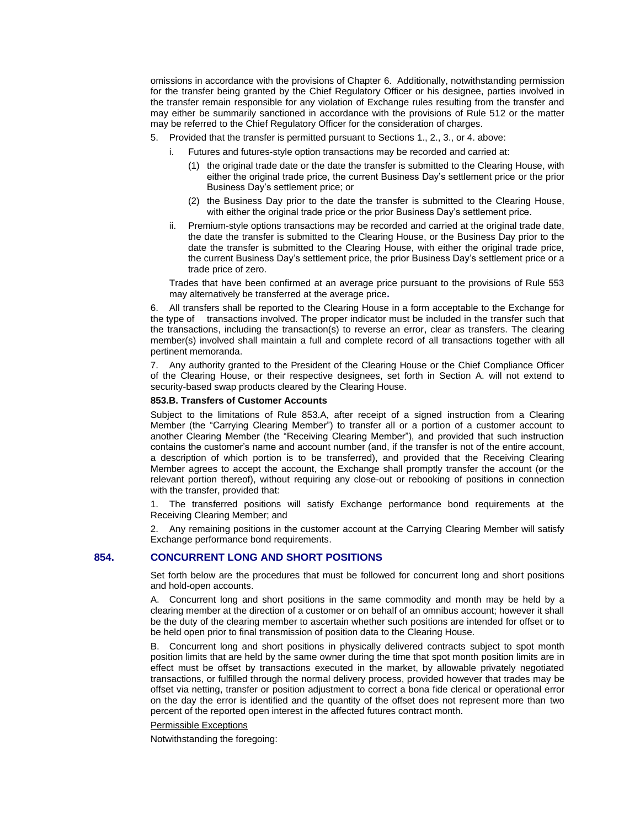omissions in accordance with the provisions of Chapter 6. Additionally, notwithstanding permission for the transfer being granted by the Chief Regulatory Officer or his designee, parties involved in the transfer remain responsible for any violation of Exchange rules resulting from the transfer and may either be summarily sanctioned in accordance with the provisions of Rule 512 or the matter may be referred to the Chief Regulatory Officer for the consideration of charges.

- 5. Provided that the transfer is permitted pursuant to Sections 1., 2., 3., or 4. above:
	- i. Futures and futures-style option transactions may be recorded and carried at:
		- (1) the original trade date or the date the transfer is submitted to the Clearing House, with either the original trade price, the current Business Day's settlement price or the prior Business Day's settlement price; or
	- (2) the Business Day prior to the date the transfer is submitted to the Clearing House, with either the original trade price or the prior Business Day's settlement price.
	- ii. Premium-style options transactions may be recorded and carried at the original trade date, the date the transfer is submitted to the Clearing House, or the Business Day prior to the date the transfer is submitted to the Clearing House, with either the original trade price, the current Business Day's settlement price, the prior Business Day's settlement price or a trade price of zero.

Trades that have been confirmed at an average price pursuant to the provisions of Rule 553 may alternatively be transferred at the average price**.**

6. All transfers shall be reported to the Clearing House in a form acceptable to the Exchange for the type of transactions involved. The proper indicator must be included in the transfer such that the transactions, including the transaction(s) to reverse an error, clear as transfers. The clearing member(s) involved shall maintain a full and complete record of all transactions together with all pertinent memoranda.

7. Any authority granted to the President of the Clearing House or the Chief Compliance Officer of the Clearing House, or their respective designees, set forth in Section A. will not extend to security-based swap products cleared by the Clearing House.

#### **853.B. Transfers of Customer Accounts**

Subject to the limitations of Rule 853.A, after receipt of a signed instruction from a Clearing Member (the "Carrying Clearing Member") to transfer all or a portion of a customer account to another Clearing Member (the "Receiving Clearing Member"), and provided that such instruction contains the customer's name and account number (and, if the transfer is not of the entire account, a description of which portion is to be transferred), and provided that the Receiving Clearing Member agrees to accept the account, the Exchange shall promptly transfer the account (or the relevant portion thereof), without requiring any close-out or rebooking of positions in connection with the transfer, provided that:

1. The transferred positions will satisfy Exchange performance bond requirements at the Receiving Clearing Member; and

2. Any remaining positions in the customer account at the Carrying Clearing Member will satisfy Exchange performance bond requirements.

# **854. CONCURRENT LONG AND SHORT POSITIONS**

Set forth below are the procedures that must be followed for concurrent long and short positions and hold-open accounts.

A. Concurrent long and short positions in the same commodity and month may be held by a clearing member at the direction of a customer or on behalf of an omnibus account; however it shall be the duty of the clearing member to ascertain whether such positions are intended for offset or to be held open prior to final transmission of position data to the Clearing House.

B. Concurrent long and short positions in physically delivered contracts subject to spot month position limits that are held by the same owner during the time that spot month position limits are in effect must be offset by transactions executed in the market, by allowable privately negotiated transactions, or fulfilled through the normal delivery process, provided however that trades may be offset via netting, transfer or position adjustment to correct a bona fide clerical or operational error on the day the error is identified and the quantity of the offset does not represent more than two percent of the reported open interest in the affected futures contract month.

#### Permissible Exceptions

Notwithstanding the foregoing: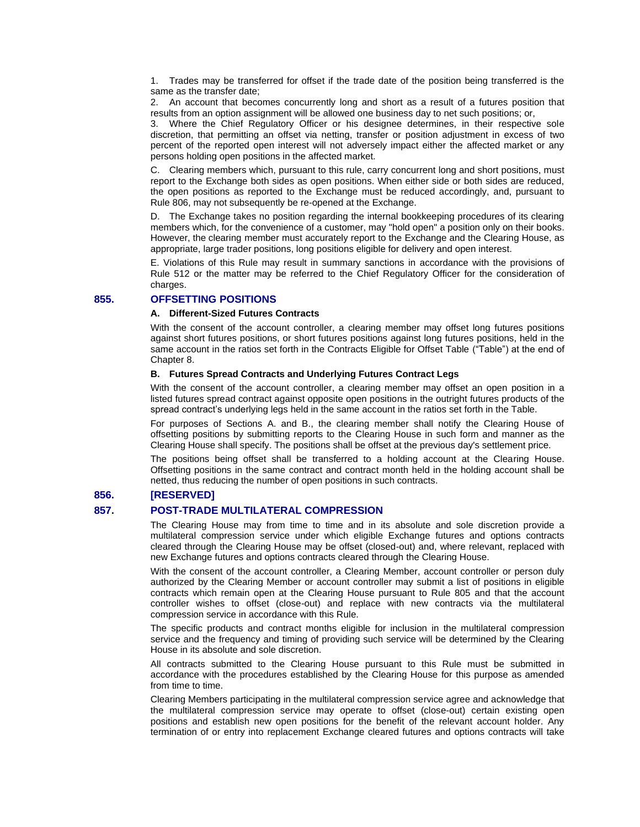1. Trades may be transferred for offset if the trade date of the position being transferred is the same as the transfer date;

2. An account that becomes concurrently long and short as a result of a futures position that results from an option assignment will be allowed one business day to net such positions; or,

3. Where the Chief Regulatory Officer or his designee determines, in their respective sole discretion, that permitting an offset via netting, transfer or position adjustment in excess of two percent of the reported open interest will not adversely impact either the affected market or any persons holding open positions in the affected market.

C. Clearing members which, pursuant to this rule, carry concurrent long and short positions, must report to the Exchange both sides as open positions. When either side or both sides are reduced, the open positions as reported to the Exchange must be reduced accordingly, and, pursuant to Rule 806, may not subsequently be re-opened at the Exchange.

D. The Exchange takes no position regarding the internal bookkeeping procedures of its clearing members which, for the convenience of a customer, may "hold open" a position only on their books. However, the clearing member must accurately report to the Exchange and the Clearing House, as appropriate, large trader positions, long positions eligible for delivery and open interest.

E. Violations of this Rule may result in summary sanctions in accordance with the provisions of Rule 512 or the matter may be referred to the Chief Regulatory Officer for the consideration of charges.

# **855. OFFSETTING POSITIONS**

## **A. Different-Sized Futures Contracts**

With the consent of the account controller, a clearing member may offset long futures positions against short futures positions, or short futures positions against long futures positions, held in the same account in the ratios set forth in the Contracts Eligible for Offset Table ("Table") at the end of Chapter 8.

## **B. Futures Spread Contracts and Underlying Futures Contract Legs**

With the consent of the account controller, a clearing member may offset an open position in a listed futures spread contract against opposite open positions in the outright futures products of the spread contract's underlying legs held in the same account in the ratios set forth in the Table.

For purposes of Sections A. and B., the clearing member shall notify the Clearing House of offsetting positions by submitting reports to the Clearing House in such form and manner as the Clearing House shall specify. The positions shall be offset at the previous day's settlement price.

The positions being offset shall be transferred to a holding account at the Clearing House. Offsetting positions in the same contract and contract month held in the holding account shall be netted, thus reducing the number of open positions in such contracts.

# **856. [RESERVED]**

## **857. POST-TRADE MULTILATERAL COMPRESSION**

The Clearing House may from time to time and in its absolute and sole discretion provide a multilateral compression service under which eligible Exchange futures and options contracts cleared through the Clearing House may be offset (closed-out) and, where relevant, replaced with new Exchange futures and options contracts cleared through the Clearing House.

With the consent of the account controller, a Clearing Member, account controller or person duly authorized by the Clearing Member or account controller may submit a list of positions in eligible contracts which remain open at the Clearing House pursuant to Rule 805 and that the account controller wishes to offset (close-out) and replace with new contracts via the multilateral compression service in accordance with this Rule.

The specific products and contract months eligible for inclusion in the multilateral compression service and the frequency and timing of providing such service will be determined by the Clearing House in its absolute and sole discretion.

All contracts submitted to the Clearing House pursuant to this Rule must be submitted in accordance with the procedures established by the Clearing House for this purpose as amended from time to time.

Clearing Members participating in the multilateral compression service agree and acknowledge that the multilateral compression service may operate to offset (close-out) certain existing open positions and establish new open positions for the benefit of the relevant account holder. Any termination of or entry into replacement Exchange cleared futures and options contracts will take